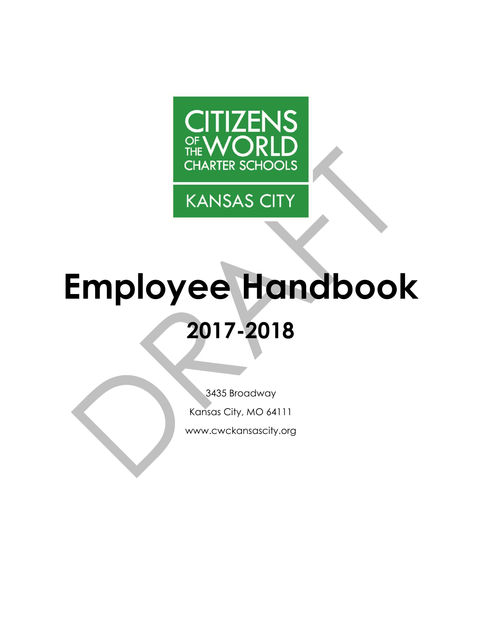

**KANSAS CITY** 

# **Employee Handbook 2017-2018**

3435 Broadway Kansas City, MO 64111 www.cwckansascity.org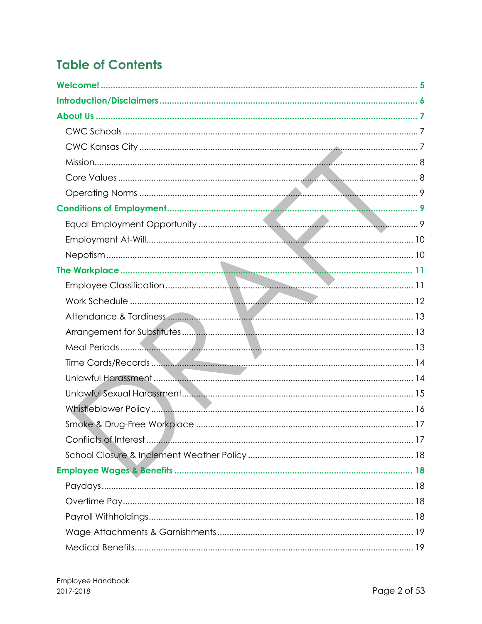# **Table of Contents**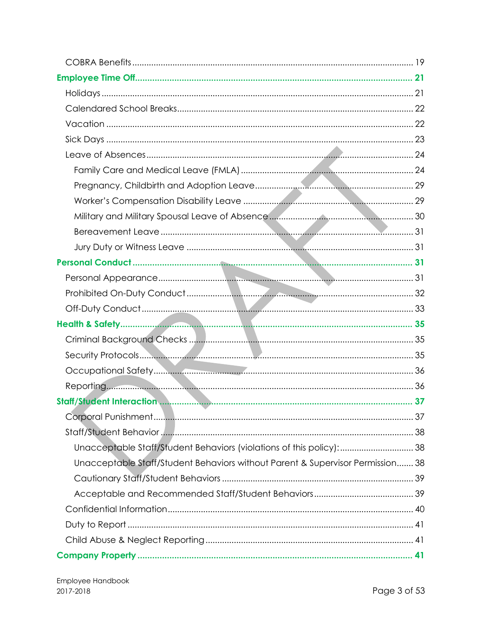| Unacceptable Staff/Student Behaviors (violations of this policy): 38           |  |
|--------------------------------------------------------------------------------|--|
| Unacceptable Staff/Student Behaviors without Parent & Supervisor Permission 38 |  |
|                                                                                |  |
|                                                                                |  |
|                                                                                |  |
|                                                                                |  |
|                                                                                |  |
|                                                                                |  |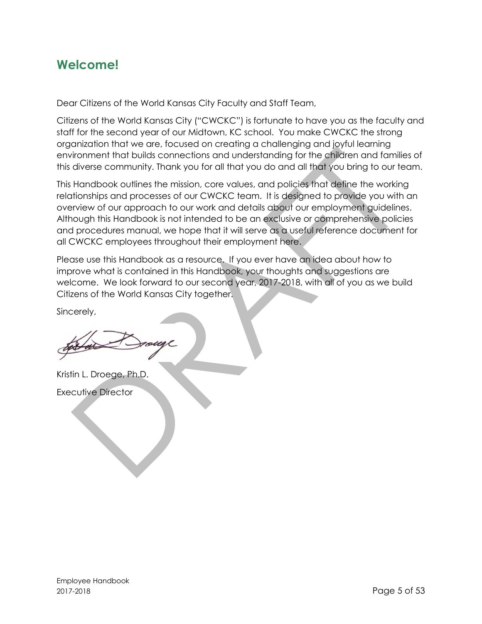# <span id="page-4-0"></span>**Welcome!**

Dear Citizens of the World Kansas City Faculty and Staff Team,

Citizens of the World Kansas City ("CWCKC") is fortunate to have you as the faculty and staff for the second year of our Midtown, KC school. You make CWCKC the strong organization that we are, focused on creating a challenging and joyful learning environment that builds connections and understanding for the children and families of this diverse community. Thank you for all that you do and all that you bring to our team.

This Handbook outlines the mission, core values, and policies that define the working relationships and processes of our CWCKC team. It is designed to provide you with an overview of our approach to our work and details about our employment guidelines. Although this Handbook is not intended to be an exclusive or comprehensive policies and procedures manual, we hope that it will serve as a useful reference document for all CWCKC employees throughout their employment here.

Please use this Handbook as a resource. If you ever have an idea about how to improve what is contained in this Handbook, your thoughts and suggestions are welcome. We look forward to our second year, 2017-2018, with all of you as we build Citizens of the World Kansas City together.

Sincerely,

Kristin L. Droege, Ph.D. Executive Director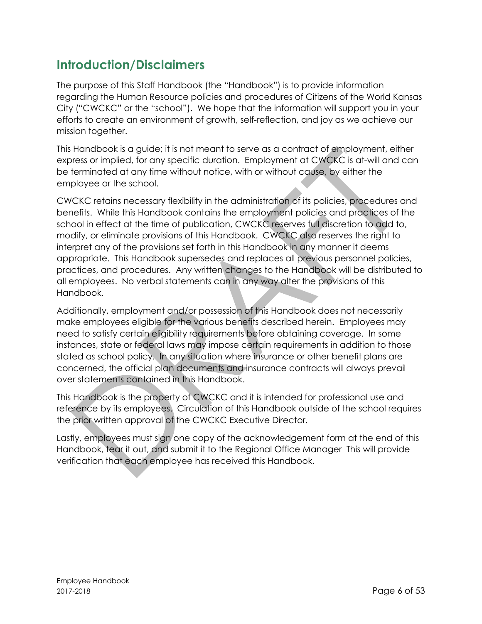# <span id="page-5-0"></span>**Introduction/Disclaimers**

The purpose of this Staff Handbook (the "Handbook") is to provide information regarding the Human Resource policies and procedures of Citizens of the World Kansas City ("CWCKC" or the "school"). We hope that the information will support you in your efforts to create an environment of growth, self-reflection, and joy as we achieve our mission together.

This Handbook is a guide; it is not meant to serve as a contract of employment, either express or implied, for any specific duration. Employment at CWCKC is at-will and can be terminated at any time without notice, with or without cause, by either the employee or the school.

CWCKC retains necessary flexibility in the administration of its policies, procedures and benefits. While this Handbook contains the employment policies and practices of the school in effect at the time of publication, CWCKC reserves full discretion to add to, modify, or eliminate provisions of this Handbook. CWCKC also reserves the right to interpret any of the provisions set forth in this Handbook in any manner it deems appropriate. This Handbook supersedes and replaces all previous personnel policies, practices, and procedures. Any written changes to the Handbook will be distributed to all employees. No verbal statements can in any way alter the provisions of this Handbook.

Additionally, employment and/or possession of this Handbook does not necessarily make employees eligible for the various benefits described herein. Employees may need to satisfy certain eligibility requirements before obtaining coverage. In some instances, state or federal laws may impose certain requirements in addition to those stated as school policy. In any situation where insurance or other benefit plans are concerned, the official plan documents and insurance contracts will always prevail over statements contained in this Handbook.

This Handbook is the property of CWCKC and it is intended for professional use and reference by its employees. Circulation of this Handbook outside of the school requires the prior written approval of the CWCKC Executive Director.

Lastly, employees must sign one copy of the acknowledgement form at the end of this Handbook, tear it out, and submit it to the Regional Office Manager This will provide verification that each employee has received this Handbook.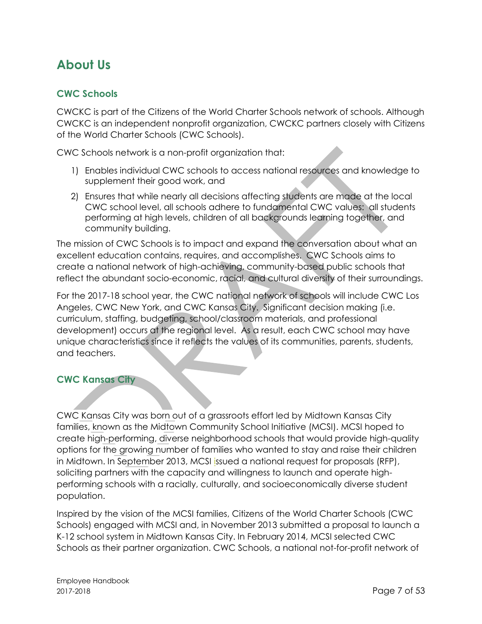# <span id="page-6-0"></span>**About Us**

## <span id="page-6-1"></span>**CWC Schools**

CWCKC is part of the Citizens of the World Charter Schools network of schools. Although CWCKC is an independent nonprofit organization, CWCKC partners closely with Citizens of the World Charter Schools (CWC Schools).

CWC Schools network is a non-profit organization that:

- 1) Enables individual CWC schools to access national resources and knowledge to supplement their good work, and
- 2) Ensures that while nearly all decisions affecting students are made at the local CWC school level, all schools adhere to fundamental CWC values: all students performing at high levels, children of all backgrounds learning together, and community building.

The mission of CWC Schools is to impact and expand the conversation about what an excellent education contains, requires, and accomplishes. CWC Schools aims to create a national network of high-achieving, community-based public schools that reflect the abundant socio-economic, racial, and cultural diversity of their surroundings.

For the 2017-18 school year, the CWC national network of schools will include CWC Los Angeles, CWC New York, and CWC Kansas City. Significant decision making (i.e. curriculum, staffing, budgeting, school/classroom materials, and professional development) occurs at the regional level. As a result, each CWC school may have unique characteristics since it reflects the values of its communities, parents, students, and teachers.

#### <span id="page-6-2"></span>**CWC Kansas City**

CWC Kansas City was born out of a grassroots effort led by Midtown Kansas City families, known as the Midtown Community School Initiative (MCSI). MCSI hoped to create high-performing, diverse neighborhood schools that would provide high-quality options for the growing number of families who wanted to stay and raise their children in Midtown. In September 2013, MCSI [issued a national request for proposals \(RFP\),](http://www.cwckansascity.org/files/Midtown_Community_School_initiative_RFP.pdf) soliciting partners with the capacity and willingness to launch and operate highperforming schools with a racially, culturally, and socioeconomically diverse student population.

Inspired by the vision of the MCSI families, Citizens of the World Charter Schools (CWC Schools) engaged with MCSI and, in November 2013 submitted a proposal to launch a K-12 school system in Midtown Kansas City. In February 2014, [MCSI selected CWC](http://www.cwckansascity.org/files/MCSI_CWC_Schools_Partnership_Letters.pdf)  [Schools](http://www.cwckansascity.org/files/MCSI_CWC_Schools_Partnership_Letters.pdf) as their partner organization. CWC Schools, a national not-for-profit network of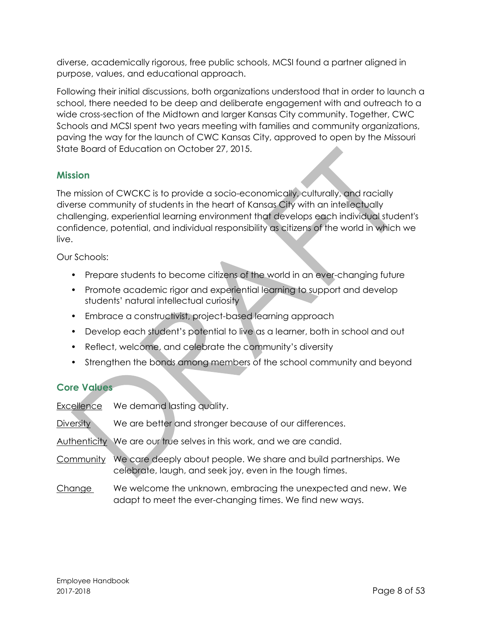diverse, academically rigorous, free public schools, MCSI found a partner aligned in purpose, values, and educational approach.

Following their initial discussions, both organizations understood that in order to launch a school, there needed to be deep and deliberate engagement with and outreach to a wide cross-section of the Midtown and larger Kansas City community. Together, CWC Schools and MCSI spent two years meeting with families and community organizations, paving the way for the launch of CWC Kansas City, [approved to open](http://www.cwckansascity.org/files/2014_through_2015_Media/State_OKs_new_midtown_KC_charter_School_KC_Star.pdf) by the Missouri State Board of Education on October 27, 2015.

## <span id="page-7-0"></span>**Mission**

The mission of CWCKC is to provide a socio-economically, culturally, and racially diverse community of students in the heart of Kansas City with an intellectually challenging, experiential learning environment that develops each individual student's confidence, potential, and individual responsibility as citizens of the world in which we live.

Our Schools:

- Prepare students to become citizens of the world in an ever-changing future
- Promote academic rigor and experiential learning to support and develop students' natural intellectual curiosity
- Embrace a constructivist, project-based learning approach
- Develop each student's potential to live as a learner, both in school and out
- Reflect, welcome, and celebrate the community's diversity
- Strengthen the bonds among members of the school community and beyond

# <span id="page-7-1"></span>**Core Values**

Excellence We demand lasting quality.

- Diversity We are better and stronger because of our differences.
- Authenticity We are our true selves in this work, and we are candid.
- Community We care deeply about people. We share and build partnerships. We celebrate, laugh, and seek joy, even in the tough times.
- Change We welcome the unknown, embracing the unexpected and new. We adapt to meet the ever-changing times. We find new ways.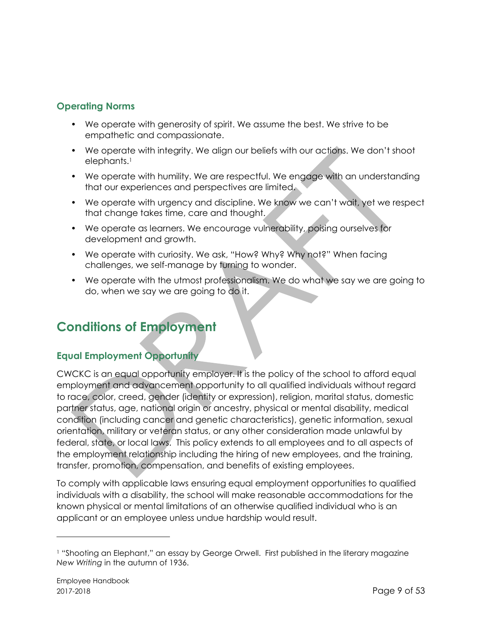# <span id="page-8-0"></span>**Operating Norms**

- We operate with generosity of spirit. We assume the best. We strive to be empathetic and compassionate.
- We operate with integrity. We align our beliefs with our actions. We don't shoot elephants.<sup>1</sup>
- We operate with humility. We are respectful. We engage with an understanding that our experiences and perspectives are limited.
- We operate with urgency and discipline. We know we can't wait, yet we respect that change takes time, care and thought.
- We operate as learners. We encourage vulnerability, poising ourselves for development and growth.
- We operate with curiosity. We ask, "How? Why? Why not?" When facing challenges, we self-manage by turning to wonder.
- We operate with the utmost professionalism. We do what we say we are going to do, when we say we are going to do it.

# <span id="page-8-1"></span>**Conditions of Employment**

# <span id="page-8-2"></span>**Equal Employment Opportunity**

CWCKC is an equal opportunity employer. It is the policy of the school to afford equal employment and advancement opportunity to all qualified individuals without regard to race, color, creed, gender (identity or expression), religion, marital status, domestic partner status, age, national origin or ancestry, physical or mental disability, medical condition (including cancer and genetic characteristics), genetic information, sexual orientation, military or veteran status, or any other consideration made unlawful by federal, state, or local laws. This policy extends to all employees and to all aspects of the employment relationship including the hiring of new employees, and the training, transfer, promotion, compensation, and benefits of existing employees.

To comply with applicable laws ensuring equal employment opportunities to qualified individuals with a disability, the school will make reasonable accommodations for the known physical or mental limitations of an otherwise qualified individual who is an applicant or an employee unless undue hardship would result.

 $\overline{a}$ 

<sup>1</sup> "Shooting an Elephant," an essay by George Orwell. First published in the literary magazine *New Writing* in the autumn of 1936.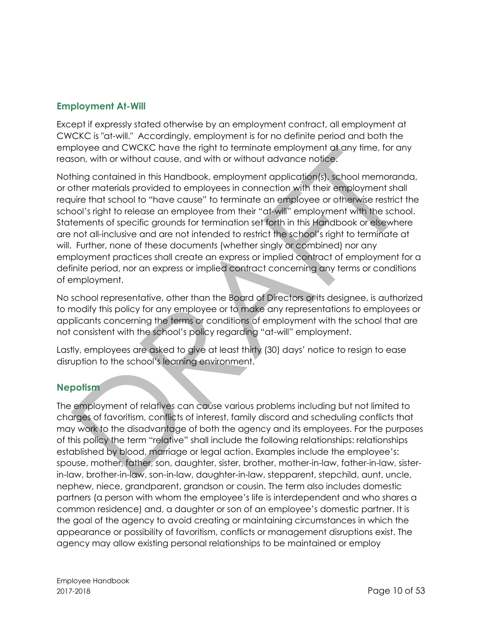## <span id="page-9-0"></span>**Employment At-Will**

Except if expressly stated otherwise by an employment contract, all employment at CWCKC is "at-will." Accordingly, employment is for no definite period and both the employee and CWCKC have the right to terminate employment at any time, for any reason, with or without cause, and with or without advance notice.

Nothing contained in this Handbook, employment application(s), school memoranda, or other materials provided to employees in connection with their employment shall require that school to "have cause" to terminate an employee or otherwise restrict the school's right to release an employee from their "at-will" employment with the school. Statements of specific grounds for termination set forth in this Handbook or elsewhere are not all-inclusive and are not intended to restrict the school's right to terminate at will. Further, none of these documents (whether singly or combined) nor any employment practices shall create an express or implied contract of employment for a definite period, nor an express or implied contract concerning any terms or conditions of employment.

No school representative, other than the Board of Directors or its designee, is authorized to modify this policy for any employee or to make any representations to employees or applicants concerning the terms or conditions of employment with the school that are not consistent with the school's policy regarding "at-will" employment.

Lastly, employees are asked to give at least thirty (30) days' notice to resign to ease disruption to the school's learning environment.

#### <span id="page-9-1"></span>**Nepotism**

The employment of relatives can cause various problems including but not limited to charges of favoritism, conflicts of interest, family discord and scheduling conflicts that may work to the disadvantage of both the agency and its employees. For the purposes of this policy the term "relative" shall include the following relationships: relationships established by blood, marriage or legal action. Examples include the employee's: spouse, mother, father, son, daughter, sister, brother, mother-in-law, father-in-law, sisterin-law, brother-in-law, son-in-law, daughter-in-law, stepparent, stepchild, aunt, uncle, nephew, niece, grandparent, grandson or cousin. The term also includes domestic partners (a person with whom the employee's life is interdependent and who shares a common residence) and, a daughter or son of an employee's domestic partner. It is the goal of the agency to avoid creating or maintaining circumstances in which the appearance or possibility of favoritism, conflicts or management disruptions exist. The agency may allow existing personal relationships to be maintained or employ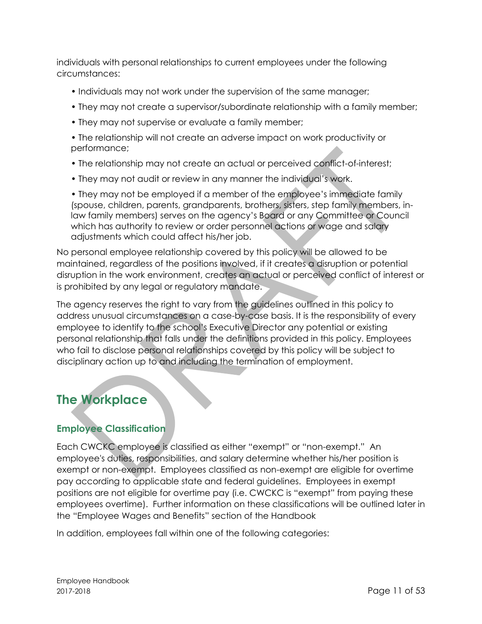individuals with personal relationships to current employees under the following circumstances:

- Individuals may not work under the supervision of the same manager;
- They may not create a supervisor/subordinate relationship with a family member;
- They may not supervise or evaluate a family member;
- The relationship will not create an adverse impact on work productivity or performance;
- The relationship may not create an actual or perceived conflict-of-interest;
- They may not audit or review in any manner the individual's work.

• They may not be employed if a member of the employee's immediate family (spouse, children, parents, grandparents, brothers, sisters, step family members, inlaw family members) serves on the agency's Board or any Committee or Council which has authority to review or order personnel actions or wage and salary adjustments which could affect his/her job.

No personal employee relationship covered by this policy will be allowed to be maintained, regardless of the positions involved, if it creates a disruption or potential disruption in the work environment, creates an actual or perceived conflict of interest or is prohibited by any legal or regulatory mandate.

The agency reserves the right to vary from the guidelines outlined in this policy to address unusual circumstances on a case-by-case basis. It is the responsibility of every employee to identify to the school's Executive Director any potential or existing personal relationship that falls under the definitions provided in this policy. Employees who fail to disclose personal relationships covered by this policy will be subject to disciplinary action up to and including the termination of employment.

# <span id="page-10-0"></span>**The Workplace**

# <span id="page-10-1"></span>**Employee Classification**

Each CWCKC employee is classified as either "exempt" or "non-exempt." An employee's duties, responsibilities, and salary determine whether his/her position is exempt or non-exempt. Employees classified as non-exempt are eligible for overtime pay according to applicable state and federal guidelines. Employees in exempt positions are not eligible for overtime pay (i.e. CWCKC is "exempt" from paying these employees overtime). Further information on these classifications will be outlined later in the "Employee Wages and Benefits" section of the Handbook

In addition, employees fall within one of the following categories: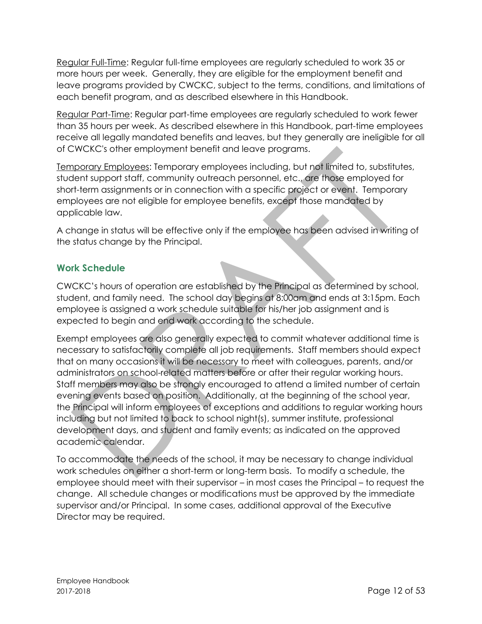Regular Full-Time: Regular full-time employees are regularly scheduled to work 35 or more hours per week. Generally, they are eligible for the employment benefit and leave programs provided by CWCKC, subject to the terms, conditions, and limitations of each benefit program, and as described elsewhere in this Handbook.

Regular Part-Time: Regular part-time employees are regularly scheduled to work fewer than 35 hours per week. As described elsewhere in this Handbook, part-time employees receive all legally mandated benefits and leaves, but they generally are ineligible for all of CWCKC's other employment benefit and leave programs.

Temporary Employees: Temporary employees including, but not limited to, substitutes, student support staff, community outreach personnel, etc., are those employed for short-term assignments or in connection with a specific project or event. Temporary employees are not eligible for employee benefits, except those mandated by applicable law.

A change in status will be effective only if the employee has been advised in writing of the status change by the Principal.

## <span id="page-11-0"></span>**Work Schedule**

CWCKC's hours of operation are established by the Principal as determined by school, student, and family need. The school day begins at 8:00am and ends at 3:15pm. Each employee is assigned a work schedule suitable for his/her job assignment and is expected to begin and end work according to the schedule.

Exempt employees are also generally expected to commit whatever additional time is necessary to satisfactorily complete all job requirements. Staff members should expect that on many occasions it will be necessary to meet with colleagues, parents, and/or administrators on school-related matters before or after their regular working hours. Staff members may also be strongly encouraged to attend a limited number of certain evening events based on position. Additionally, at the beginning of the school year, the Principal will inform employees of exceptions and additions to regular working hours including but not limited to back to school night(s), summer institute, professional development days, and student and family events; as indicated on the approved academic calendar.

<span id="page-11-1"></span>To accommodate the needs of the school, it may be necessary to change individual work schedules on either a short-term or long-term basis. To modify a schedule, the employee should meet with their supervisor – in most cases the Principal – to request the change. All schedule changes or modifications must be approved by the immediate supervisor and/or Principal. In some cases, additional approval of the Executive Director may be required.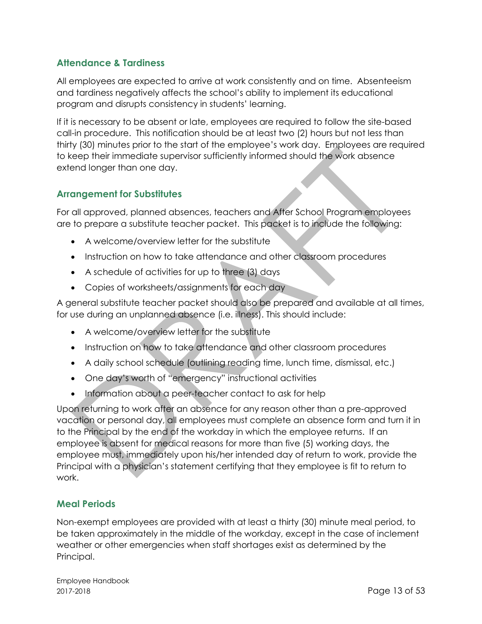## **Attendance & Tardiness**

All employees are expected to arrive at work consistently and on time. Absenteeism and tardiness negatively affects the school's ability to implement its educational program and disrupts consistency in students' learning.

If it is necessary to be absent or late, employees are required to follow the site-based call-in procedure. This notification should be at least two (2) hours but not less than thirty (30) minutes prior to the start of the employee's work day. Employees are required to keep their immediate supervisor sufficiently informed should the work absence extend longer than one day.

#### <span id="page-12-0"></span>**Arrangement for Substitutes**

For all approved, planned absences, teachers and After School Program employees are to prepare a substitute teacher packet. This packet is to include the following:

- A welcome/overview letter for the substitute
- Instruction on how to take attendance and other classroom procedures
- A schedule of activities for up to three (3) days
- Copies of worksheets/assignments for each day

A general substitute teacher packet should also be prepared and available at all times, for use during an unplanned absence (i.e. illness). This should include:

- A welcome/overview letter for the substitute
- Instruction on how to take attendance and other classroom procedures
- A daily school schedule (outlining reading time, lunch time, dismissal, etc.)
- One day's worth of "emergency" instructional activities
- Information about a peer-teacher contact to ask for help

Upon returning to work after an absence for any reason other than a pre-approved vacation or personal day, all employees must complete an absence form and turn it in to the Principal by the end of the workday in which the employee returns. If an employee is absent for medical reasons for more than five (5) working days, the employee must, immediately upon his/her intended day of return to work, provide the Principal with a physician's statement certifying that they employee is fit to return to work.

#### <span id="page-12-1"></span>**Meal Periods**

Non-exempt employees are provided with at least a thirty (30) minute meal period, to be taken approximately in the middle of the workday, except in the case of inclement weather or other emergencies when staff shortages exist as determined by the Principal.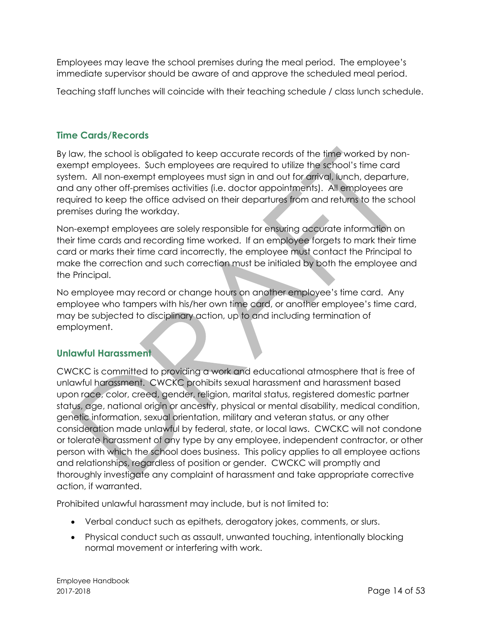Employees may leave the school premises during the meal period. The employee's immediate supervisor should be aware of and approve the scheduled meal period.

Teaching staff lunches will coincide with their teaching schedule / class lunch schedule.

#### <span id="page-13-0"></span>**Time Cards/Records**

By law, the school is obligated to keep accurate records of the time worked by nonexempt employees. Such employees are required to utilize the school's time card system. All non-exempt employees must sign in and out for arrival, lunch, departure, and any other off-premises activities (i.e. doctor appointments). All employees are required to keep the office advised on their departures from and returns to the school premises during the workday.

Non-exempt employees are solely responsible for ensuring accurate information on their time cards and recording time worked. If an employee forgets to mark their time card or marks their time card incorrectly, the employee must contact the Principal to make the correction and such correction must be initialed by both the employee and the Principal.

No employee may record or change hours on another employee's time card. Any employee who tampers with his/her own time card, or another employee's time card, may be subjected to disciplinary action, up to and including termination of employment.

#### <span id="page-13-1"></span>**Unlawful Harassment**

CWCKC is committed to providing a work and educational atmosphere that is free of unlawful harassment. CWCKC prohibits sexual harassment and harassment based upon race, color, creed, gender, religion, marital status, registered domestic partner status, age, national origin or ancestry, physical or mental disability, medical condition, genetic information, sexual orientation, military and veteran status, or any other consideration made unlawful by federal, state, or local laws. CWCKC will not condone or tolerate harassment of any type by any employee, independent contractor, or other person with which the school does business. This policy applies to all employee actions and relationships, regardless of position or gender. CWCKC will promptly and thoroughly investigate any complaint of harassment and take appropriate corrective action, if warranted.

Prohibited unlawful harassment may include, but is not limited to:

- Verbal conduct such as epithets, derogatory jokes, comments, or slurs.
- Physical conduct such as assault, unwanted touching, intentionally blocking normal movement or interfering with work.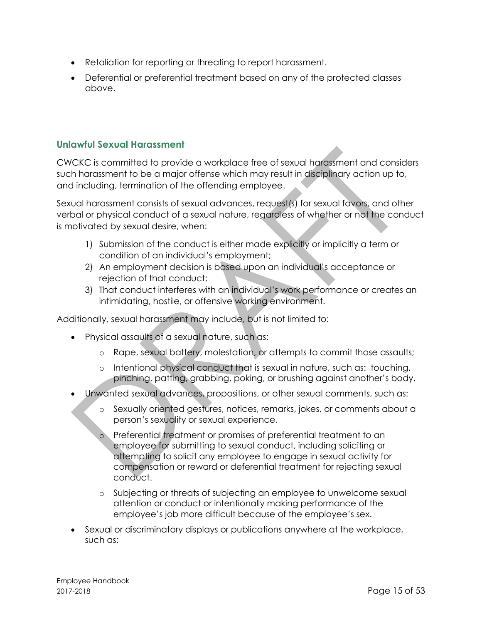- Retaliation for reporting or threating to report harassment.
- Deferential or preferential treatment based on any of the protected classes above.

#### <span id="page-14-0"></span>**Unlawful Sexual Harassment**

CWCKC is committed to provide a workplace free of sexual harassment and considers such harassment to be a major offense which may result in disciplinary action up to, and including, termination of the offending employee.

Sexual harassment consists of sexual advances, request(s) for sexual favors, and other verbal or physical conduct of a sexual nature, regardless of whether or not the conduct is motivated by sexual desire, when:

- 1) Submission of the conduct is either made explicitly or implicitly a term or condition of an individual's employment;
- 2) An employment decision is based upon an individual's acceptance or rejection of that conduct;
- 3) That conduct interferes with an individual's work performance or creates an intimidating, hostile, or offensive working environment.

Additionally, sexual harassment may include, but is not limited to:

- Physical assaults of a sexual nature, such as:
	- o Rape, sexual battery, molestation, or attempts to commit those assaults;
	- o Intentional physical conduct that is sexual in nature, such as: touching, pinching, patting, grabbing, poking, or brushing against another's body.
- Unwanted sexual advances, propositions, or other sexual comments, such as:
	- o Sexually oriented gestures, notices, remarks, jokes, or comments about a person's sexuality or sexual experience.
	- o Preferential treatment or promises of preferential treatment to an employee for submitting to sexual conduct, including soliciting or attempting to solicit any employee to engage in sexual activity for compensation or reward or deferential treatment for rejecting sexual conduct.
	- o Subjecting or threats of subjecting an employee to unwelcome sexual attention or conduct or intentionally making performance of the employee's job more difficult because of the employee's sex.
- Sexual or discriminatory displays or publications anywhere at the workplace, such as: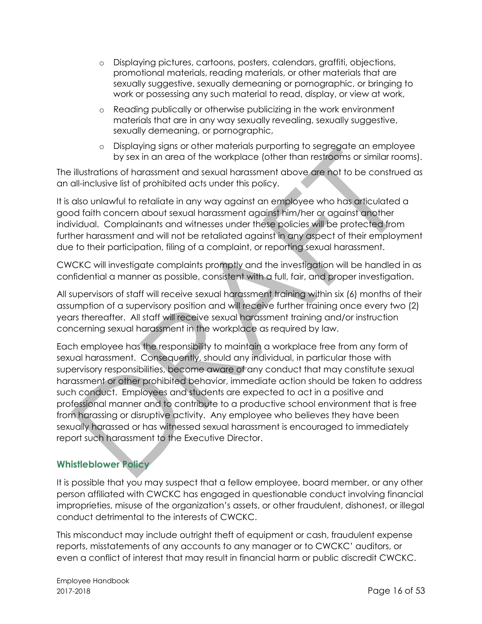- o Displaying pictures, cartoons, posters, calendars, graffiti, objections, promotional materials, reading materials, or other materials that are sexually suggestive, sexually demeaning or pornographic, or bringing to work or possessing any such material to read, display, or view at work,
- o Reading publically or otherwise publicizing in the work environment materials that are in any way sexually revealing, sexually suggestive, sexually demeaning, or pornographic,
- o Displaying signs or other materials purporting to segregate an employee by sex in an area of the workplace (other than restrooms or similar rooms).

The illustrations of harassment and sexual harassment above are not to be construed as an all-inclusive list of prohibited acts under this policy.

It is also unlawful to retaliate in any way against an employee who has articulated a good faith concern about sexual harassment against him/her or against another individual. Complainants and witnesses under these policies will be protected from further harassment and will not be retaliated against in any aspect of their employment due to their participation, filing of a complaint, or reporting sexual harassment.

CWCKC will investigate complaints promptly and the investigation will be handled in as confidential a manner as possible, consistent with a full, fair, and proper investigation.

All supervisors of staff will receive sexual harassment training within six (6) months of their assumption of a supervisory position and will receive further training once every two (2) years thereafter. All staff will receive sexual harassment training and/or instruction concerning sexual harassment in the workplace as required by law.

Each employee has the responsibility to maintain a workplace free from any form of sexual harassment. Consequently, should any individual, in particular those with supervisory responsibilities, become aware of any conduct that may constitute sexual harassment or other prohibited behavior, immediate action should be taken to address such conduct. Employees and students are expected to act in a positive and professional manner and to contribute to a productive school environment that is free from harassing or disruptive activity. Any employee who believes they have been sexually harassed or has witnessed sexual harassment is encouraged to immediately report such harassment to the Executive Director.

# <span id="page-15-0"></span>**Whistleblower Policy**

It is possible that you may suspect that a fellow employee, board member, or any other person affiliated with CWCKC has engaged in questionable conduct involving financial improprieties, misuse of the organization's assets, or other fraudulent, dishonest, or illegal conduct detrimental to the interests of CWCKC.

This misconduct may include outright theft of equipment or cash, fraudulent expense reports, misstatements of any accounts to any manager or to CWCKC' auditors, or even a conflict of interest that may result in financial harm or public discredit CWCKC.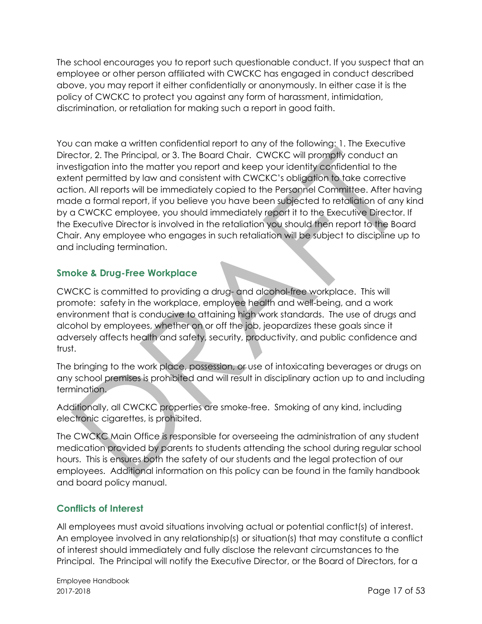The school encourages you to report such questionable conduct. If you suspect that an employee or other person affiliated with CWCKC has engaged in conduct described above, you may report it either confidentially or anonymously. In either case it is the policy of CWCKC to protect you against any form of harassment, intimidation, discrimination, or retaliation for making such a report in good faith.

You can make a written confidential report to any of the following: 1. The Executive Director, 2. The Principal, or 3. The Board Chair. CWCKC will promptly conduct an investigation into the matter you report and keep your identity confidential to the extent permitted by law and consistent with CWCKC's obligation to take corrective action. All reports will be immediately copied to the Personnel Committee. After having made a formal report, if you believe you have been subjected to retaliation of any kind by a CWCKC employee, you should immediately report it to the Executive Director. If the Executive Director is involved in the retaliation you should then report to the Board Chair. Any employee who engages in such retaliation will be subject to discipline up to and including termination.

# <span id="page-16-0"></span>**Smoke & Drug-Free Workplace**

CWCKC is committed to providing a drug- and alcohol-free workplace. This will promote: safety in the workplace, employee health and well-being, and a work environment that is conducive to attaining high work standards. The use of drugs and alcohol by employees, whether on or off the job, jeopardizes these goals since it adversely affects health and safety, security, productivity, and public confidence and trust.

The bringing to the work place, possession, or use of intoxicating beverages or drugs on any school premises is prohibited and will result in disciplinary action up to and including termination.

Additionally, all CWCKC properties are smoke-free. Smoking of any kind, including electronic cigarettes, is prohibited.

The CWCKC Main Office is responsible for overseeing the administration of any student medication provided by parents to students attending the school during regular school hours. This is ensures both the safety of our students and the legal protection of our employees. Additional information on this policy can be found in the family handbook and board policy manual.

# <span id="page-16-1"></span>**Conflicts of Interest**

All employees must avoid situations involving actual or potential conflict(s) of interest. An employee involved in any relationship(s) or situation(s) that may constitute a conflict of interest should immediately and fully disclose the relevant circumstances to the Principal. The Principal will notify the Executive Director, or the Board of Directors, for a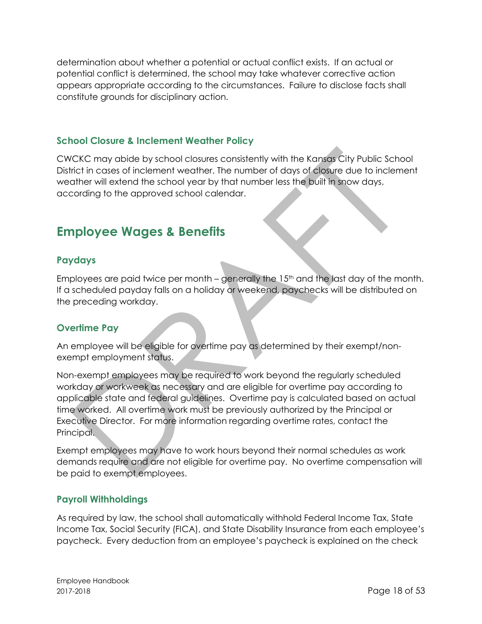determination about whether a potential or actual conflict exists. If an actual or potential conflict is determined, the school may take whatever corrective action appears appropriate according to the circumstances. Failure to disclose facts shall constitute grounds for disciplinary action.

#### <span id="page-17-0"></span>**School Closure & Inclement Weather Policy**

CWCKC may abide by school closures consistently with the Kansas City Public School District in cases of inclement weather. The number of days of closure due to inclement weather will extend the school year by that number less the built in snow days, according to the approved school calendar.

# <span id="page-17-1"></span>**Employee Wages & Benefits**

## <span id="page-17-2"></span>**Paydays**

Employees are paid twice per month – generally the  $15<sup>th</sup>$  and the last day of the month. If a scheduled payday falls on a holiday or weekend, paychecks will be distributed on the preceding workday.

#### <span id="page-17-3"></span>**Overtime Pay**

An employee will be eligible for overtime pay as determined by their exempt/nonexempt employment status.

Non-exempt employees may be required to work beyond the regularly scheduled workday or workweek as necessary and are eligible for overtime pay according to applicable state and federal guidelines. Overtime pay is calculated based on actual time worked. All overtime work must be previously authorized by the Principal or Executive Director. For more information regarding overtime rates, contact the Principal.

Exempt employees may have to work hours beyond their normal schedules as work demands require and are not eligible for overtime pay. No overtime compensation will be paid to exempt employees.

#### <span id="page-17-4"></span>**Payroll Withholdings**

As required by law, the school shall automatically withhold Federal Income Tax, State Income Tax, Social Security (FICA), and State Disability Insurance from each employee's paycheck. Every deduction from an employee's paycheck is explained on the check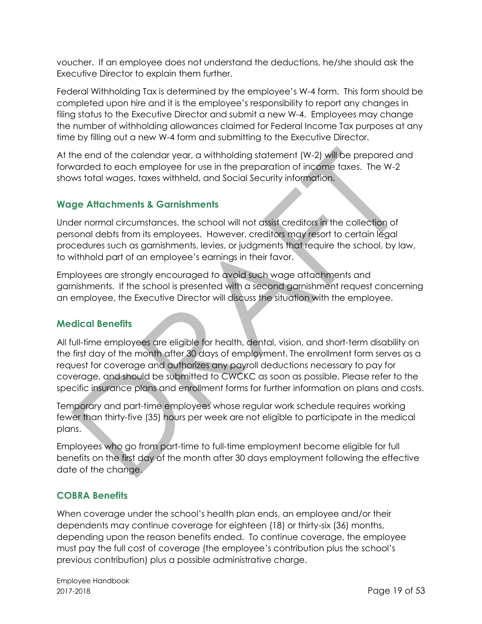voucher. If an employee does not understand the deductions, he/she should ask the Executive Director to explain them further.

Federal Withholding Tax is determined by the employee's W-4 form. This form should be completed upon hire and it is the employee's responsibility to report any changes in filing status to the Executive Director and submit a new W-4. Employees may change the number of withholding allowances claimed for Federal Income Tax purposes at any time by filling out a new W-4 form and submitting to the Executive Director.

At the end of the calendar year, a withholding statement (W-2) will be prepared and forwarded to each employee for use in the preparation of income taxes. The W-2 shows total wages, taxes withheld, and Social Security information.

# <span id="page-18-0"></span>**Wage Attachments & Garnishments**

Under normal circumstances, the school will not assist creditors in the collection of personal debts from its employees. However, creditors may resort to certain legal procedures such as garnishments, levies, or judgments that require the school, by law, to withhold part of an employee's earnings in their favor.

Employees are strongly encouraged to avoid such wage attachments and garnishments. If the school is presented with a second garnishment request concerning an employee, the Executive Director will discuss the situation with the employee.

#### <span id="page-18-1"></span>**Medical Benefits**

All full-time employees are eligible for health, dental, vision, and short-term disability on the first day of the month after 30 days of employment. The enrollment form serves as a request for coverage and authorizes any payroll deductions necessary to pay for coverage, and should be submitted to CWCKC as soon as possible. Please refer to the specific insurance plans and enrollment forms for further information on plans and costs.

Temporary and part-time employees whose regular work schedule requires working fewer than thirty-five (35) hours per week are not eligible to participate in the medical plans.

Employees who go from part-time to full-time employment become eligible for full benefits on the first day of the month after 30 days employment following the effective date of the change.

# <span id="page-18-2"></span>**COBRA Benefits**

When coverage under the school's health plan ends, an employee and/or their dependents may continue coverage for eighteen (18) or thirty-six (36) months, depending upon the reason benefits ended. To continue coverage, the employee must pay the full cost of coverage (the employee's contribution plus the school's previous contribution) plus a possible administrative charge.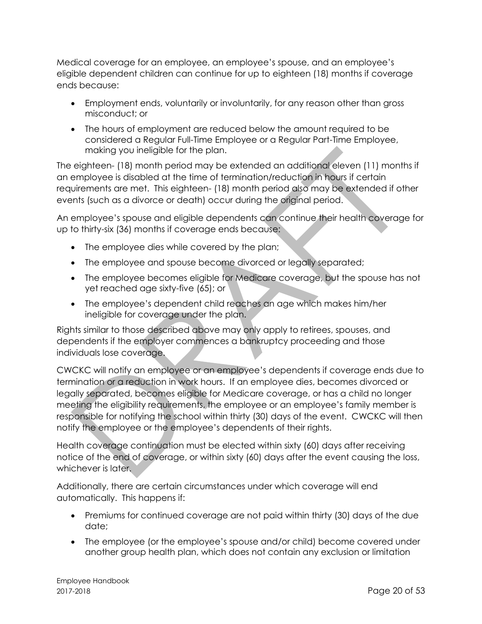Medical coverage for an employee, an employee's spouse, and an employee's eligible dependent children can continue for up to eighteen (18) months if coverage ends because:

- Employment ends, voluntarily or involuntarily, for any reason other than gross misconduct; or
- The hours of employment are reduced below the amount required to be considered a Regular Full-Time Employee or a Regular Part-Time Employee, making you ineligible for the plan.

The eighteen- (18) month period may be extended an additional eleven (11) months if an employee is disabled at the time of termination/reduction in hours if certain requirements are met. This eighteen- (18) month period also may be extended if other events (such as a divorce or death) occur during the original period.

An employee's spouse and eligible dependents can continue their health coverage for up to thirty-six (36) months if coverage ends because:

- The employee dies while covered by the plan;
- The employee and spouse become divorced or legally separated;
- The employee becomes eligible for Medicare coverage, but the spouse has not yet reached age sixty-five (65); or
- The employee's dependent child reaches an age which makes him/her ineligible for coverage under the plan.

Rights similar to those described above may only apply to retirees, spouses, and dependents if the employer commences a bankruptcy proceeding and those individuals lose coverage.

CWCKC will notify an employee or an employee's dependents if coverage ends due to termination or a reduction in work hours. If an employee dies, becomes divorced or legally separated, becomes eligible for Medicare coverage, or has a child no longer meeting the eligibility requirements, the employee or an employee's family member is responsible for notifying the school within thirty (30) days of the event. CWCKC will then notify the employee or the employee's dependents of their rights.

Health coverage continuation must be elected within sixty (60) days after receiving notice of the end of coverage, or within sixty (60) days after the event causing the loss, whichever is later.

Additionally, there are certain circumstances under which coverage will end automatically. This happens if:

- Premiums for continued coverage are not paid within thirty (30) days of the due date;
- The employee (or the employee's spouse and/or child) become covered under another group health plan, which does not contain any exclusion or limitation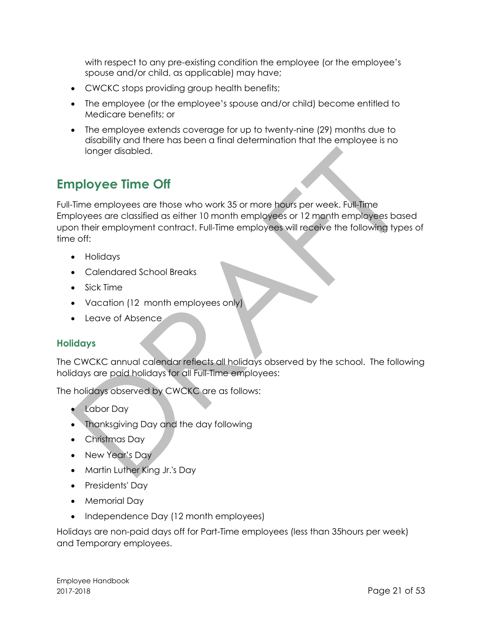with respect to any pre-existing condition the employee (or the employee's spouse and/or child, as applicable) may have;

- CWCKC stops providing group health benefits;
- The employee (or the employee's spouse and/or child) become entitled to Medicare benefits; or
- The employee extends coverage for up to twenty-nine (29) months due to disability and there has been a final determination that the employee is no longer disabled.

# <span id="page-20-0"></span>**Employee Time Off**

Full-Time employees are those who work 35 or more hours per week. Full-Time Employees are classified as either 10 month employees or 12 month employees based upon their employment contract. Full-Time employees will receive the following types of time off:

- Holidays
- Calendared School Breaks
- Sick Time
- Vacation (12 month employees only)
- Leave of Absence

#### <span id="page-20-1"></span>**Holidays**

The CWCKC annual calendar reflects all holidays observed by the school. The following holidays are paid holidays for all Full-Time employees:

The holidays observed by CWCKC are as follows:

- Labor Day
- Thanksgiving Day and the day following
- Christmas Day
- New Year's Day
- Martin Luther King Jr.'s Day
- Presidents' Day
- Memorial Day
- Independence Day (12 month employees)

Holidays are non-paid days off for Part-Time employees (less than 35hours per week) and Temporary employees.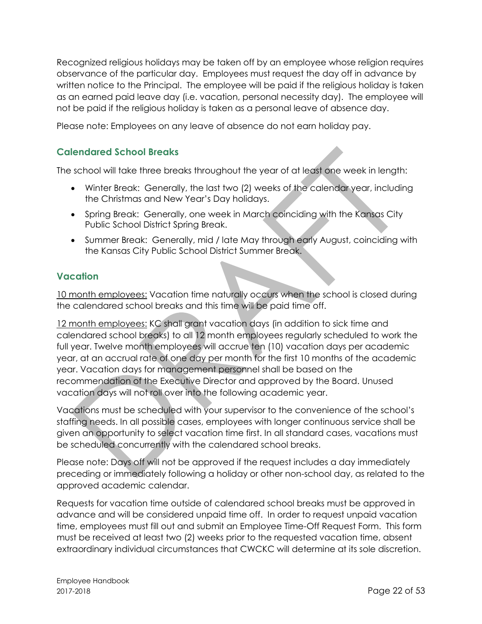Recognized religious holidays may be taken off by an employee whose religion requires observance of the particular day. Employees must request the day off in advance by written notice to the Principal. The employee will be paid if the religious holiday is taken as an earned paid leave day (i.e. vacation, personal necessity day). The employee will not be paid if the religious holiday is taken as a personal leave of absence day.

Please note: Employees on any leave of absence do not earn holiday pay.

## <span id="page-21-0"></span>**Calendared School Breaks**

The school will take three breaks throughout the year of at least one week in length:

- Winter Break: Generally, the last two (2) weeks of the calendar year, including the Christmas and New Year's Day holidays.
- Spring Break: Generally, one week in March coinciding with the Kansas City Public School District Spring Break.
- Summer Break: Generally, mid / late May through early August, coinciding with the Kansas City Public School District Summer Break.

#### <span id="page-21-1"></span>**Vacation**

10 month employees: Vacation time naturally occurs when the school is closed during the calendared school breaks and this time will be paid time off.

12 month employees: KC shall grant vacation days (in addition to sick time and calendared school breaks) to all 12 month employees regularly scheduled to work the full year. Twelve month employees will accrue ten (10) vacation days per academic year, at an accrual rate of one day per month for the first 10 months of the academic year. Vacation days for management personnel shall be based on the recommendation of the Executive Director and approved by the Board. Unused vacation days will not roll over into the following academic year.

Vacations must be scheduled with your supervisor to the convenience of the school's staffing needs. In all possible cases, employees with longer continuous service shall be given an opportunity to select vacation time first. In all standard cases, vacations must be scheduled concurrently with the calendared school breaks.

Please note: Days off will not be approved if the request includes a day immediately preceding or immediately following a holiday or other non-school day, as related to the approved academic calendar.

Requests for vacation time outside of calendared school breaks must be approved in advance and will be considered unpaid time off. In order to request unpaid vacation time, employees must fill out and submit an Employee Time-Off Request Form. This form must be received at least two (2) weeks prior to the requested vacation time, absent extraordinary individual circumstances that CWCKC will determine at its sole discretion.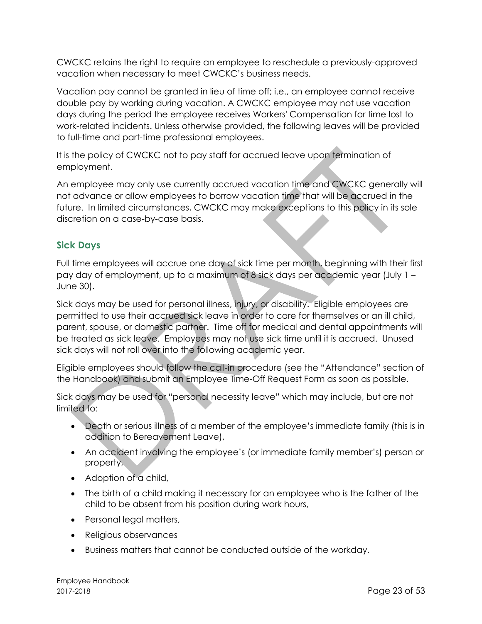CWCKC retains the right to require an employee to reschedule a previously-approved vacation when necessary to meet CWCKC's business needs.

Vacation pay cannot be granted in lieu of time off; i.e., an employee cannot receive double pay by working during vacation. A CWCKC employee may not use vacation days during the period the employee receives Workers' Compensation for time lost to work-related incidents. Unless otherwise provided, the following leaves will be provided to full-time and part-time professional employees.

It is the policy of CWCKC not to pay staff for accrued leave upon termination of employment.

An employee may only use currently accrued vacation time and CWCKC generally will not advance or allow employees to borrow vacation time that will be accrued in the future. In limited circumstances, CWCKC may make exceptions to this policy in its sole discretion on a case-by-case basis.

# <span id="page-22-0"></span>**Sick Days**

Full time employees will accrue one day of sick time per month, beginning with their first pay day of employment, up to a maximum of 8 sick days per academic year (July 1 – June 30).

Sick days may be used for personal illness, injury, or disability. Eligible employees are permitted to use their accrued sick leave in order to care for themselves or an ill child, parent, spouse, or domestic partner. Time off for medical and dental appointments will be treated as sick leave. Employees may not use sick time until it is accrued. Unused sick days will not roll over into the following academic year.

Eligible employees should follow the call-in procedure (see the "Attendance" section of the Handbook) and submit an Employee Time-Off Request Form as soon as possible.

Sick days may be used for "personal necessity leave" which may include, but are not limited to:

- Death or serious illness of a member of the employee's immediate family (this is in addition to Bereavement Leave),
- An accident involving the employee's (or immediate family member's) person or property,
- Adoption of a child,
- The birth of a child making it necessary for an employee who is the father of the child to be absent from his position during work hours,
- Personal legal matters,
- Religious observances
- Business matters that cannot be conducted outside of the workday.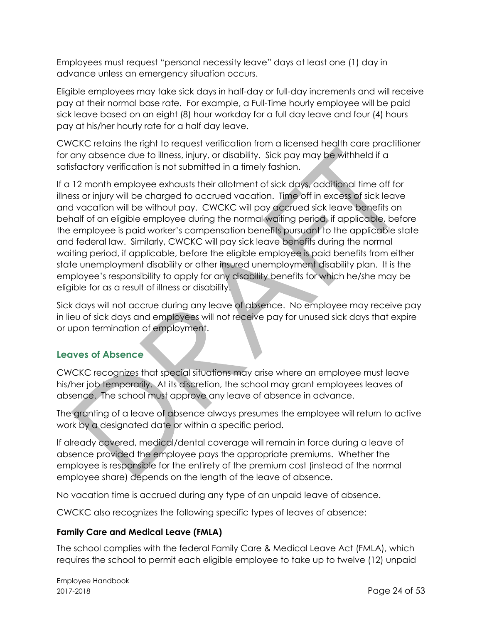Employees must request "personal necessity leave" days at least one (1) day in advance unless an emergency situation occurs.

Eligible employees may take sick days in half-day or full-day increments and will receive pay at their normal base rate. For example, a Full-Time hourly employee will be paid sick leave based on an eight (8) hour workday for a full day leave and four (4) hours pay at his/her hourly rate for a half day leave.

CWCKC retains the right to request verification from a licensed health care practitioner for any absence due to illness, injury, or disability. Sick pay may be withheld if a satisfactory verification is not submitted in a timely fashion.

If a 12 month employee exhausts their allotment of sick days, additional time off for illness or injury will be charged to accrued vacation. Time off in excess of sick leave and vacation will be without pay. CWCKC will pay accrued sick leave benefits on behalf of an eligible employee during the normal waiting period, if applicable, before the employee is paid worker's compensation benefits pursuant to the applicable state and federal law. Similarly, CWCKC will pay sick leave benefits during the normal waiting period, if applicable, before the eligible employee is paid benefits from either state unemployment disability or other insured unemployment disability plan. It is the employee's responsibility to apply for any disability benefits for which he/she may be eligible for as a result of illness or disability.

Sick days will not accrue during any leave of absence. No employee may receive pay in lieu of sick days and employees will not receive pay for unused sick days that expire or upon termination of employment.

# <span id="page-23-0"></span>**Leaves of Absence**

CWCKC recognizes that special situations may arise where an employee must leave his/her job temporarily. At its discretion, the school may grant employees leaves of absence. The school must approve any leave of absence in advance.

The granting of a leave of absence always presumes the employee will return to active work by a designated date or within a specific period.

If already covered, medical/dental coverage will remain in force during a leave of absence provided the employee pays the appropriate premiums. Whether the employee is responsible for the entirety of the premium cost (instead of the normal employee share) depends on the length of the leave of absence.

No vacation time is accrued during any type of an unpaid leave of absence.

CWCKC also recognizes the following specific types of leaves of absence:

#### <span id="page-23-1"></span>**Family Care and Medical Leave (FMLA)**

The school complies with the federal Family Care & Medical Leave Act (FMLA), which requires the school to permit each eligible employee to take up to twelve (12) unpaid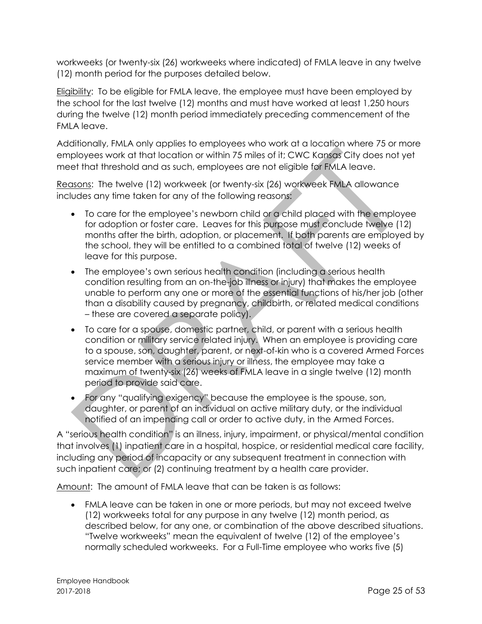workweeks (or twenty-six (26) workweeks where indicated) of FMLA leave in any twelve (12) month period for the purposes detailed below.

Eligibility: To be eligible for FMLA leave, the employee must have been employed by the school for the last twelve (12) months and must have worked at least 1,250 hours during the twelve (12) month period immediately preceding commencement of the FMLA leave.

Additionally, FMLA only applies to employees who work at a location where 75 or more employees work at that location or within 75 miles of it; CWC Kansas City does not yet meet that threshold and as such, employees are not eligible for FMLA leave.

Reasons: The twelve (12) workweek (or twenty-six (26) workweek FMLA allowance includes any time taken for any of the following reasons:

- To care for the employee's newborn child or a child placed with the employee for adoption or foster care. Leaves for this purpose must conclude twelve (12) months after the birth, adoption, or placement. If both parents are employed by the school, they will be entitled to a combined total of twelve (12) weeks of leave for this purpose.
- The employee's own serious health condition (including a serious health condition resulting from an on-the-job illness or injury) that makes the employee unable to perform any one or more of the essential functions of his/her job (other than a disability caused by pregnancy, childbirth, or related medical conditions – these are covered a separate policy).
- To care for a spouse, domestic partner, child, or parent with a serious health condition or military service related injury. When an employee is providing care to a spouse, son, daughter, parent, or next-of-kin who is a covered Armed Forces service member with a serious injury or illness, the employee may take a maximum of twenty-six (26) weeks of FMLA leave in a single twelve (12) month period to provide said care.
- For any "qualifying exigency" because the employee is the spouse, son, daughter, or parent of an individual on active military duty, or the individual notified of an impending call or order to active duty, in the Armed Forces.

A "serious health condition" is an illness, injury, impairment, or physical/mental condition that involves (1) inpatient care in a hospital, hospice, or residential medical care facility, including any period of incapacity or any subsequent treatment in connection with such inpatient care; or (2) continuing treatment by a health care provider.

Amount: The amount of FMLA leave that can be taken is as follows:

• FMLA leave can be taken in one or more periods, but may not exceed twelve (12) workweeks total for any purpose in any twelve (12) month period, as described below, for any one, or combination of the above described situations. "Twelve workweeks" mean the equivalent of twelve (12) of the employee's normally scheduled workweeks. For a Full-Time employee who works five (5)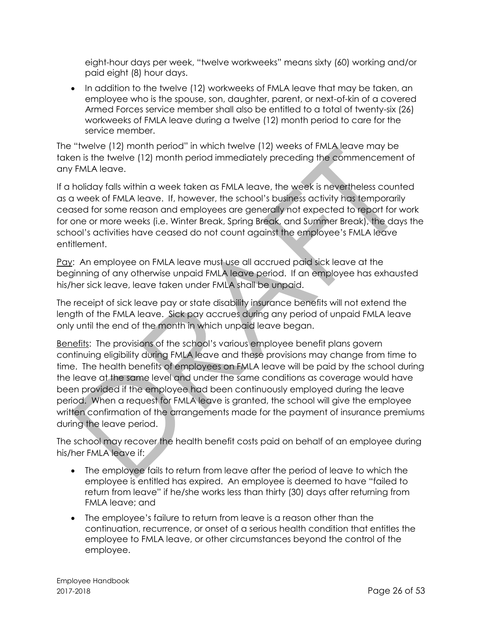eight-hour days per week, "twelve workweeks" means sixty (60) working and/or paid eight (8) hour days.

• In addition to the twelve (12) workweeks of FMLA leave that may be taken, an employee who is the spouse, son, daughter, parent, or next-of-kin of a covered Armed Forces service member shall also be entitled to a total of twenty-six (26) workweeks of FMLA leave during a twelve (12) month period to care for the service member.

The "twelve (12) month period" in which twelve (12) weeks of FMLA leave may be taken is the twelve (12) month period immediately preceding the commencement of any FMLA leave.

If a holiday falls within a week taken as FMLA leave, the week is nevertheless counted as a week of FMLA leave. If, however, the school's business activity has temporarily ceased for some reason and employees are generally not expected to report for work for one or more weeks (i.e. Winter Break, Spring Break, and Summer Break), the days the school's activities have ceased do not count against the employee's FMLA leave entitlement.

Pay: An employee on FMLA leave must use all accrued paid sick leave at the beginning of any otherwise unpaid FMLA leave period. If an employee has exhausted his/her sick leave, leave taken under FMLA shall be unpaid.

The receipt of sick leave pay or state disability insurance benefits will not extend the length of the FMLA leave. Sick pay accrues during any period of unpaid FMLA leave only until the end of the month in which unpaid leave began.

Benefits: The provisions of the school's various employee benefit plans govern continuing eligibility during FMLA leave and these provisions may change from time to time. The health benefits of employees on FMLA leave will be paid by the school during the leave at the same level and under the same conditions as coverage would have been provided if the employee had been continuously employed during the leave period. When a request for FMLA leave is granted, the school will give the employee written confirmation of the arrangements made for the payment of insurance premiums during the leave period.

The school may recover the health benefit costs paid on behalf of an employee during his/her FMLA leave if:

- The employee fails to return from leave after the period of leave to which the employee is entitled has expired. An employee is deemed to have "failed to return from leave" if he/she works less than thirty (30) days after returning from FMLA leave; and
- The employee's failure to return from leave is a reason other than the continuation, recurrence, or onset of a serious health condition that entitles the employee to FMLA leave, or other circumstances beyond the control of the employee.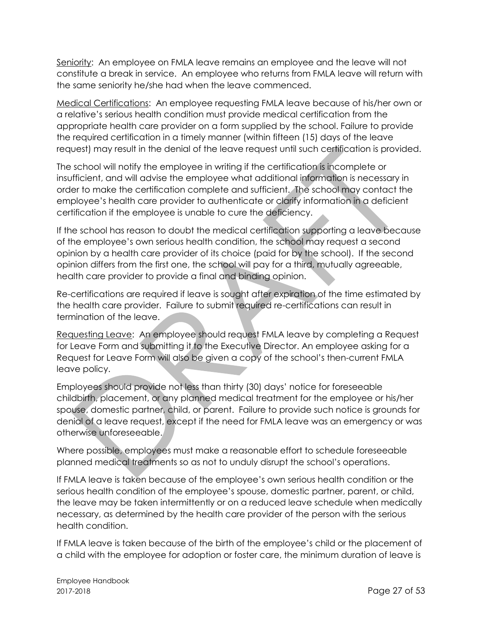Seniority: An employee on FMLA leave remains an employee and the leave will not constitute a break in service. An employee who returns from FMLA leave will return with the same seniority he/she had when the leave commenced.

Medical Certifications: An employee requesting FMLA leave because of his/her own or a relative's serious health condition must provide medical certification from the appropriate health care provider on a form supplied by the school. Failure to provide the required certification in a timely manner (within fifteen (15) days of the leave request) may result in the denial of the leave request until such certification is provided.

The school will notify the employee in writing if the certification is incomplete or insufficient, and will advise the employee what additional information is necessary in order to make the certification complete and sufficient. The school may contact the employee's health care provider to authenticate or clarify information in a deficient certification if the employee is unable to cure the deficiency.

If the school has reason to doubt the medical certification supporting a leave because of the employee's own serious health condition, the school may request a second opinion by a health care provider of its choice (paid for by the school). If the second opinion differs from the first one, the school will pay for a third, mutually agreeable, health care provider to provide a final and binding opinion.

Re-certifications are required if leave is sought after expiration of the time estimated by the health care provider. Failure to submit required re-certifications can result in termination of the leave.

Requesting Leave: An employee should request FMLA leave by completing a Request for Leave Form and submitting it to the Executive Director. An employee asking for a Request for Leave Form will also be given a copy of the school's then-current FMLA leave policy.

Employees should provide not less than thirty (30) days' notice for foreseeable childbirth, placement, or any planned medical treatment for the employee or his/her spouse, domestic partner, child, or parent. Failure to provide such notice is grounds for denial of a leave request, except if the need for FMLA leave was an emergency or was otherwise unforeseeable.

Where possible, employees must make a reasonable effort to schedule foreseeable planned medical treatments so as not to unduly disrupt the school's operations.

If FMLA leave is taken because of the employee's own serious health condition or the serious health condition of the employee's spouse, domestic partner, parent, or child, the leave may be taken intermittently or on a reduced leave schedule when medically necessary, as determined by the health care provider of the person with the serious health condition.

If FMLA leave is taken because of the birth of the employee's child or the placement of a child with the employee for adoption or foster care, the minimum duration of leave is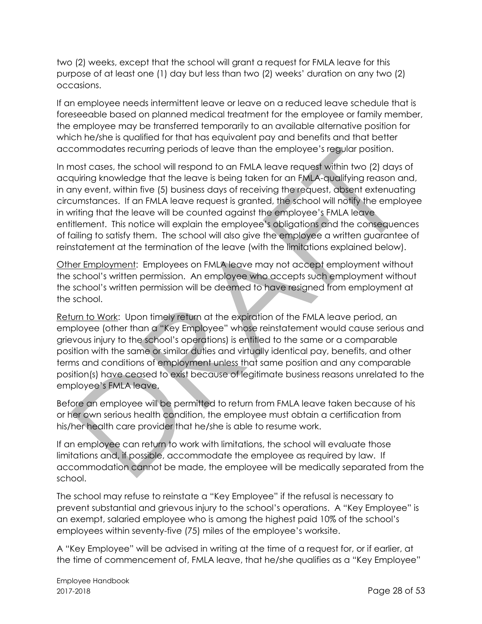two (2) weeks, except that the school will grant a request for FMLA leave for this purpose of at least one (1) day but less than two (2) weeks' duration on any two (2) occasions.

If an employee needs intermittent leave or leave on a reduced leave schedule that is foreseeable based on planned medical treatment for the employee or family member, the employee may be transferred temporarily to an available alternative position for which he/she is qualified for that has equivalent pay and benefits and that better accommodates recurring periods of leave than the employee's regular position.

In most cases, the school will respond to an FMLA leave request within two (2) days of acquiring knowledge that the leave is being taken for an FMLA-qualifying reason and, in any event, within five (5) business days of receiving the request, absent extenuating circumstances. If an FMLA leave request is granted, the school will notify the employee in writing that the leave will be counted against the employee's FMLA leave entitlement. This notice will explain the employee's obligations and the consequences of failing to satisfy them. The school will also give the employee a written guarantee of reinstatement at the termination of the leave (with the limitations explained below).

Other Employment: Employees on FMLA leave may not accept employment without the school's written permission. An employee who accepts such employment without the school's written permission will be deemed to have resigned from employment at the school.

Return to Work: Upon timely return at the expiration of the FMLA leave period, an employee (other than a "Key Employee" whose reinstatement would cause serious and grievous injury to the school's operations) is entitled to the same or a comparable position with the same or similar duties and virtually identical pay, benefits, and other terms and conditions of employment unless that same position and any comparable position(s) have ceased to exist because of legitimate business reasons unrelated to the employee's FMLA leave.

Before an employee will be permitted to return from FMLA leave taken because of his or her own serious health condition, the employee must obtain a certification from his/her health care provider that he/she is able to resume work.

If an employee can return to work with limitations, the school will evaluate those limitations and, if possible, accommodate the employee as required by law. If accommodation cannot be made, the employee will be medically separated from the school.

The school may refuse to reinstate a "Key Employee" if the refusal is necessary to prevent substantial and grievous injury to the school's operations. A "Key Employee" is an exempt, salaried employee who is among the highest paid 10% of the school's employees within seventy-five (75) miles of the employee's worksite.

A "Key Employee" will be advised in writing at the time of a request for, or if earlier, at the time of commencement of, FMLA leave, that he/she qualifies as a "Key Employee"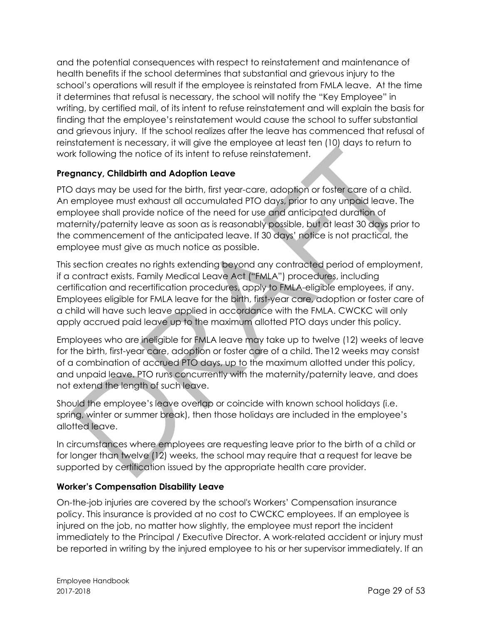and the potential consequences with respect to reinstatement and maintenance of health benefits if the school determines that substantial and grievous injury to the school's operations will result if the employee is reinstated from FMLA leave. At the time it determines that refusal is necessary, the school will notify the "Key Employee" in writing, by certified mail, of its intent to refuse reinstatement and will explain the basis for finding that the employee's reinstatement would cause the school to suffer substantial and grievous injury. If the school realizes after the leave has commenced that refusal of reinstatement is necessary, it will give the employee at least ten (10) days to return to work following the notice of its intent to refuse reinstatement.

## <span id="page-28-0"></span>**Pregnancy, Childbirth and Adoption Leave**

PTO days may be used for the birth, first year-care, adoption or foster care of a child. An employee must exhaust all accumulated PTO days, prior to any unpaid leave. The employee shall provide notice of the need for use and anticipated duration of maternity/paternity leave as soon as is reasonably possible, but at least 30 days prior to the commencement of the anticipated leave. If 30 days' notice is not practical, the employee must give as much notice as possible.

This section creates no rights extending beyond any contracted period of employment, if a contract exists. Family Medical Leave Act ("FMLA") procedures, including certification and recertification procedures, apply to FMLA-eligible employees, if any. Employees eligible for FMLA leave for the birth, first-year care, adoption or foster care of a child will have such leave applied in accordance with the FMLA. CWCKC will only apply accrued paid leave up to the maximum allotted PTO days under this policy.

Employees who are ineligible for FMLA leave may take up to twelve (12) weeks of leave for the birth, first-year care, adoption or foster care of a child. The12 weeks may consist of a combination of accrued PTO days, up to the maximum allotted under this policy, and unpaid leave. PTO runs concurrently with the maternity/paternity leave, and does not extend the length of such leave.

Should the employee's leave overlap or coincide with known school holidays (i.e. spring, winter or summer break), then those holidays are included in the employee's allotted leave.

In circumstances where employees are requesting leave prior to the birth of a child or for longer than twelve (12) weeks, the school may require that a request for leave be supported by certification issued by the appropriate health care provider.

#### <span id="page-28-1"></span>**Worker's Compensation Disability Leave**

On-the-job injuries are covered by the school's Workers' Compensation insurance policy. This insurance is provided at no cost to CWCKC employees. If an employee is injured on the job, no matter how slightly, the employee must report the incident immediately to the Principal / Executive Director. A work-related accident or injury must be reported in writing by the injured employee to his or her supervisor immediately. If an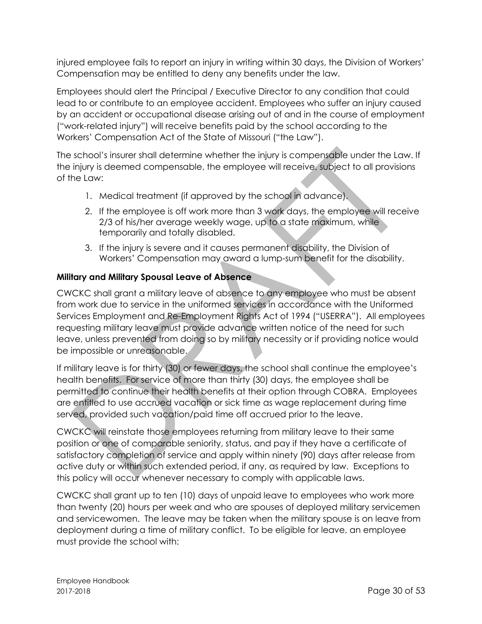injured employee fails to report an injury in writing within 30 days, the Division of Workers' Compensation may be entitled to deny any benefits under the law.

Employees should alert the Principal / Executive Director to any condition that could lead to or contribute to an employee accident. Employees who suffer an injury caused by an accident or occupational disease arising out of and in the course of employment ("work-related injury") will receive benefits paid by the school according to the Workers' Compensation Act of the State of Missouri ("the Law").

The school's insurer shall determine whether the injury is compensable under the Law. If the injury is deemed compensable, the employee will receive, subject to all provisions of the Law:

- 1. Medical treatment (if approved by the school in advance).
- 2. If the employee is off work more than 3 work days, the employee will receive 2/3 of his/her average weekly wage, up to a state maximum, while temporarily and totally disabled.
- 3. If the injury is severe and it causes permanent disability, the Division of Workers' Compensation may award a lump-sum benefit for the disability.

#### <span id="page-29-0"></span>**Military and Military Spousal Leave of Absence**

CWCKC shall grant a military leave of absence to any employee who must be absent from work due to service in the uniformed services in accordance with the Uniformed Services Employment and Re-Employment Rights Act of 1994 ("USERRA"). All employees requesting military leave must provide advance written notice of the need for such leave, unless prevented from doing so by military necessity or if providing notice would be impossible or unreasonable.

If military leave is for thirty (30) or fewer days, the school shall continue the employee's health benefits. For service of more than thirty (30) days, the employee shall be permitted to continue their health benefits at their option through COBRA. Employees are entitled to use accrued vacation or sick time as wage replacement during time served, provided such vacation/paid time off accrued prior to the leave.

CWCKC will reinstate those employees returning from military leave to their same position or one of comparable seniority, status, and pay if they have a certificate of satisfactory completion of service and apply within ninety (90) days after release from active duty or within such extended period, if any, as required by law. Exceptions to this policy will occur whenever necessary to comply with applicable laws.

CWCKC shall grant up to ten (10) days of unpaid leave to employees who work more than twenty (20) hours per week and who are spouses of deployed military servicemen and servicewomen. The leave may be taken when the military spouse is on leave from deployment during a time of military conflict. To be eligible for leave, an employee must provide the school with: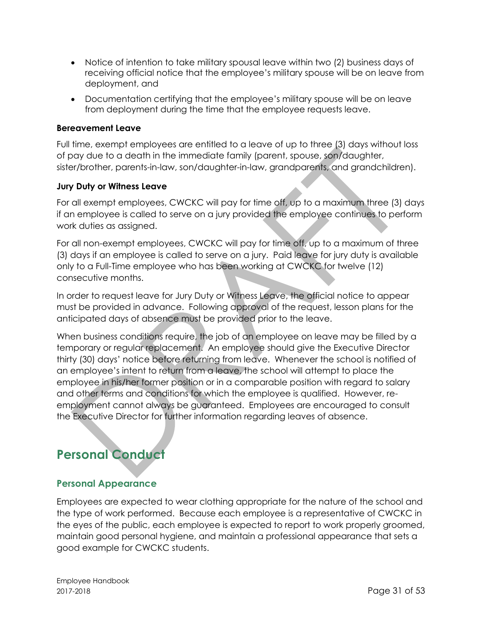- Notice of intention to take military spousal leave within two (2) business days of receiving official notice that the employee's military spouse will be on leave from deployment, and
- Documentation certifying that the employee's military spouse will be on leave from deployment during the time that the employee requests leave.

#### <span id="page-30-0"></span>**Bereavement Leave**

Full time, exempt employees are entitled to a leave of up to three (3) days without loss of pay due to a death in the immediate family (parent, spouse, son/daughter, sister/brother, parents-in-law, son/daughter-in-law, grandparents, and grandchildren).

#### <span id="page-30-1"></span>**Jury Duty or Witness Leave**

For all exempt employees, CWCKC will pay for time off, up to a maximum three (3) days if an employee is called to serve on a jury provided the employee continues to perform work duties as assigned.

For all non-exempt employees, CWCKC will pay for time off, up to a maximum of three (3) days if an employee is called to serve on a jury. Paid leave for jury duty is available only to a Full-Time employee who has been working at CWCKC for twelve (12) consecutive months.

In order to request leave for Jury Duty or Witness Leave, the official notice to appear must be provided in advance. Following approval of the request, lesson plans for the anticipated days of absence must be provided prior to the leave.

When business conditions require, the job of an employee on leave may be filled by a temporary or regular replacement. An employee should give the Executive Director thirty (30) days' notice before returning from leave. Whenever the school is notified of an employee's intent to return from a leave, the school will attempt to place the employee in his/her former position or in a comparable position with regard to salary and other terms and conditions for which the employee is qualified. However, reemployment cannot always be guaranteed. Employees are encouraged to consult the Executive Director for further information regarding leaves of absence.

# <span id="page-30-2"></span>**Personal Conduct**

# <span id="page-30-3"></span>**Personal Appearance**

Employees are expected to wear clothing appropriate for the nature of the school and the type of work performed. Because each employee is a representative of CWCKC in the eyes of the public, each employee is expected to report to work properly groomed, maintain good personal hygiene, and maintain a professional appearance that sets a good example for CWCKC students.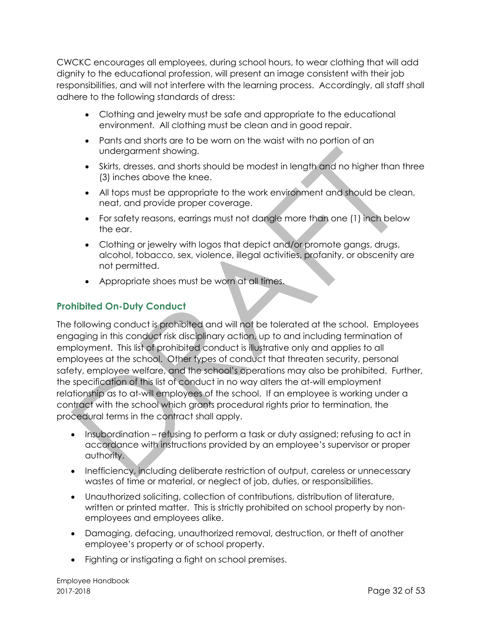CWCKC encourages all employees, during school hours, to wear clothing that will add dignity to the educational profession, will present an image consistent with their job responsibilities, and will not interfere with the learning process. Accordingly, all staff shall adhere to the following standards of dress:

- Clothing and jewelry must be safe and appropriate to the educational environment. All clothing must be clean and in good repair.
- Pants and shorts are to be worn on the waist with no portion of an undergarment showing.
- Skirts, dresses, and shorts should be modest in length and no higher than three (3) inches above the knee.
- All tops must be appropriate to the work environment and should be clean, neat, and provide proper coverage.
- For safety reasons, earrings must not dangle more than one (1) inch below the ear.
- Clothing or jewelry with logos that depict and/or promote gangs, drugs, alcohol, tobacco, sex, violence, illegal activities, profanity, or obscenity are not permitted.
- Appropriate shoes must be worn at all times.

## <span id="page-31-0"></span>**Prohibited On-Duty Conduct**

The following conduct is prohibited and will not be tolerated at the school. Employees engaging in this conduct risk disciplinary action, up to and including termination of employment. This list of prohibited conduct is illustrative only and applies to all employees at the school. Other types of conduct that threaten security, personal safety, employee welfare, and the school's operations may also be prohibited. Further, the specification of this list of conduct in no way alters the at-will employment relationship as to at-will employees of the school. If an employee is working under a contract with the school which grants procedural rights prior to termination, the procedural terms in the contract shall apply.

- Insubordination refusing to perform a task or duty assigned; refusing to act in accordance with instructions provided by an employee's supervisor or proper authority.
- Inefficiency, including deliberate restriction of output, careless or unnecessary wastes of time or material, or neglect of job, duties, or responsibilities.
- Unauthorized soliciting, collection of contributions, distribution of literature, written or printed matter. This is strictly prohibited on school property by nonemployees and employees alike.
- Damaging, defacing, unauthorized removal, destruction, or theft of another employee's property or of school property.
- Fighting or instigating a fight on school premises.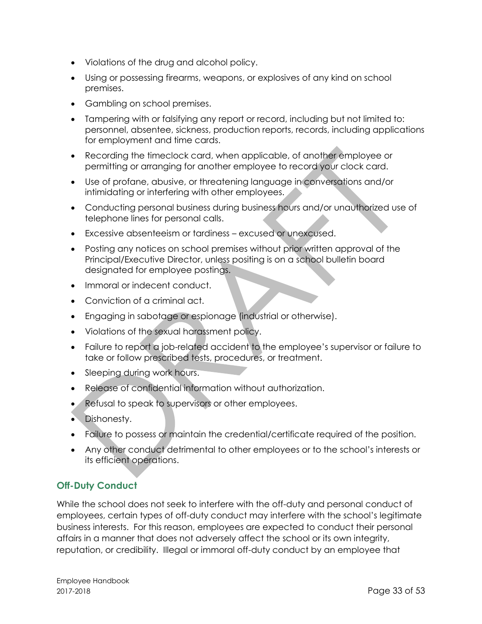- Violations of the drug and alcohol policy.
- Using or possessing firearms, weapons, or explosives of any kind on school premises.
- Gambling on school premises.
- Tampering with or falsifying any report or record, including but not limited to: personnel, absentee, sickness, production reports, records, including applications for employment and time cards.
- Recording the timeclock card, when applicable, of another employee or permitting or arranging for another employee to record your clock card.
- Use of profane, abusive, or threatening language in conversations and/or intimidating or interfering with other employees.
- Conducting personal business during business hours and/or unauthorized use of telephone lines for personal calls.
- Excessive absenteeism or tardiness excused or unexcused.
- Posting any notices on school premises without prior written approval of the Principal/Executive Director, unless positing is on a school bulletin board designated for employee postings.
- Immoral or indecent conduct.
- Conviction of a criminal act.
- Engaging in sabotage or espionage (industrial or otherwise).
- Violations of the sexual harassment policy.
- Failure to report a job-related accident to the employee's supervisor or failure to take or follow prescribed tests, procedures, or treatment.
- Sleeping during work hours.
- Release of confidential information without authorization.
- Refusal to speak to supervisors or other employees.
- Dishonesty.
- Failure to possess or maintain the credential/certificate required of the position.
- Any other conduct detrimental to other employees or to the school's interests or its efficient operations.

# <span id="page-32-0"></span>**Off-Duty Conduct**

While the school does not seek to interfere with the off-duty and personal conduct of employees, certain types of off-duty conduct may interfere with the school's legitimate business interests. For this reason, employees are expected to conduct their personal affairs in a manner that does not adversely affect the school or its own integrity, reputation, or credibility. Illegal or immoral off-duty conduct by an employee that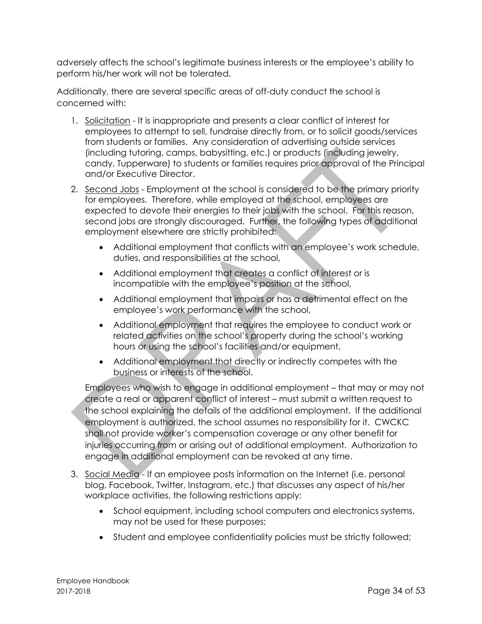adversely affects the school's legitimate business interests or the employee's ability to perform his/her work will not be tolerated.

Additionally, there are several specific areas of off-duty conduct the school is concerned with:

- 1. Solicitation It is inappropriate and presents a clear conflict of interest for employees to attempt to sell, fundraise directly from, or to solicit goods/services from students or families. Any consideration of advertising outside services (including tutoring, camps, babysitting, etc.) or products (including jewelry, candy, Tupperware) to students or families requires prior approval of the Principal and/or Executive Director.
- 2. Second Jobs Employment at the school is considered to be the primary priority for employees. Therefore, while employed at the school, employees are expected to devote their energies to their jobs with the school. For this reason, second jobs are strongly discouraged. Further, the following types of additional employment elsewhere are strictly prohibited:
	- Additional employment that conflicts with an employee's work schedule, duties, and responsibilities at the school,
	- Additional employment that creates a conflict of interest or is incompatible with the employee's position at the school,
	- Additional employment that impairs or has a detrimental effect on the employee's work performance with the school,
	- Additional employment that requires the employee to conduct work or related activities on the school's property during the school's working hours or using the school's facilities and/or equipment,
	- Additional employment that directly or indirectly competes with the business or interests of the school.

Employees who wish to engage in additional employment – that may or may not create a real or apparent conflict of interest – must submit a written request to the school explaining the details of the additional employment. If the additional employment is authorized, the school assumes no responsibility for it. CWCKC shall not provide worker's compensation coverage or any other benefit for injuries occurring from or arising out of additional employment. Authorization to engage in additional employment can be revoked at any time.

- 3. Social Media If an employee posts information on the Internet (i.e. personal blog, Facebook, Twitter, Instagram, etc.) that discusses any aspect of his/her workplace activities, the following restrictions apply:
	- School equipment, including school computers and electronics systems, may not be used for these purposes;
	- Student and employee confidentiality policies must be strictly followed;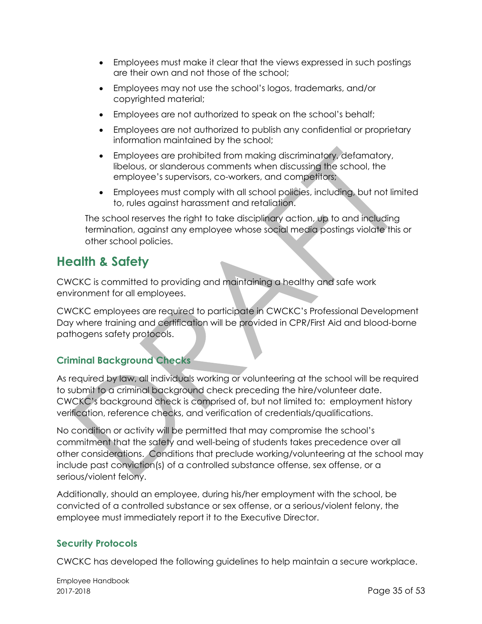- Employees must make it clear that the views expressed in such postings are their own and not those of the school;
- Employees may not use the school's logos, trademarks, and/or copyrighted material;
- Employees are not authorized to speak on the school's behalf;
- Employees are not authorized to publish any confidential or proprietary information maintained by the school;
- Employees are prohibited from making discriminatory, defamatory, libelous, or slanderous comments when discussing the school, the employee's supervisors, co-workers, and competitors;
- Employees must comply with all school policies, including, but not limited to, rules against harassment and retaliation.

The school reserves the right to take disciplinary action, up to and including termination, against any employee whose social media postings violate this or other school policies.

# <span id="page-34-0"></span>**Health & Safety**

CWCKC is committed to providing and maintaining a healthy and safe work environment for all employees.

CWCKC employees are required to participate in CWCKC's Professional Development Day where training and certification will be provided in CPR/First Aid and blood-borne pathogens safety protocols.

# <span id="page-34-1"></span>**Criminal Background Checks**

As required by law, all individuals working or volunteering at the school will be required to submit to a criminal background check preceding the hire/volunteer date. CWCKC's background check is comprised of, but not limited to: employment history verification, reference checks, and verification of credentials/qualifications.

No condition or activity will be permitted that may compromise the school's commitment that the safety and well-being of students takes precedence over all other considerations. Conditions that preclude working/volunteering at the school may include past conviction(s) of a controlled substance offense, sex offense, or a serious/violent felony.

Additionally, should an employee, during his/her employment with the school, be convicted of a controlled substance or sex offense, or a serious/violent felony, the employee must immediately report it to the Executive Director.

#### <span id="page-34-2"></span>**Security Protocols**

CWCKC has developed the following guidelines to help maintain a secure workplace.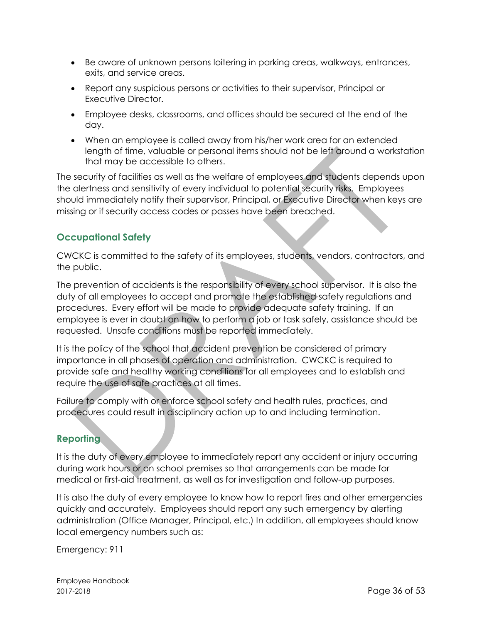- Be aware of unknown persons loitering in parking areas, walkways, entrances, exits, and service areas.
- Report any suspicious persons or activities to their supervisor, Principal or Executive Director.
- Employee desks, classrooms, and offices should be secured at the end of the day.
- When an employee is called away from his/her work area for an extended length of time, valuable or personal items should not be left around a workstation that may be accessible to others.

The security of facilities as well as the welfare of employees and students depends upon the alertness and sensitivity of every individual to potential security risks. Employees should immediately notify their supervisor, Principal, or Executive Director when keys are missing or if security access codes or passes have been breached.

# <span id="page-35-0"></span>**Occupational Safety**

CWCKC is committed to the safety of its employees, students, vendors, contractors, and the public.

The prevention of accidents is the responsibility of every school supervisor. It is also the duty of all employees to accept and promote the established safety regulations and procedures. Every effort will be made to provide adequate safety training. If an employee is ever in doubt on how to perform a job or task safely, assistance should be requested. Unsafe conditions must be reported immediately.

It is the policy of the school that accident prevention be considered of primary importance in all phases of operation and administration. CWCKC is required to provide safe and healthy working conditions for all employees and to establish and require the use of safe practices at all times.

Failure to comply with or enforce school safety and health rules, practices, and procedures could result in disciplinary action up to and including termination.

# <span id="page-35-1"></span>**Reporting**

It is the duty of every employee to immediately report any accident or injury occurring during work hours or on school premises so that arrangements can be made for medical or first-aid treatment, as well as for investigation and follow-up purposes.

It is also the duty of every employee to know how to report fires and other emergencies quickly and accurately. Employees should report any such emergency by alerting administration (Office Manager, Principal, etc.) In addition, all employees should know local emergency numbers such as:

Emergency: 911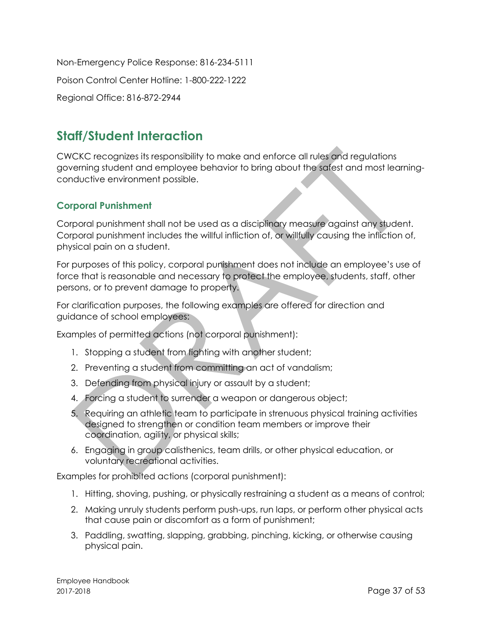Non-Emergency Police Response: 816-234-5111 Poison Control Center Hotline: 1-800-222-1222 Regional Office: 816-872-2944

# <span id="page-36-0"></span>**Staff/Student Interaction**

CWCKC recognizes its responsibility to make and enforce all rules and regulations governing student and employee behavior to bring about the safest and most learningconductive environment possible.

## <span id="page-36-1"></span>**Corporal Punishment**

Corporal punishment shall not be used as a disciplinary measure against any student. Corporal punishment includes the willful infliction of, or willfully causing the infliction of, physical pain on a student.

For purposes of this policy, corporal punishment does not include an employee's use of force that is reasonable and necessary to protect the employee, students, staff, other persons, or to prevent damage to property.

For clarification purposes, the following examples are offered for direction and guidance of school employees:

Examples of permitted actions (not corporal punishment):

- 1. Stopping a student from fighting with another student;
- 2. Preventing a student from committing an act of vandalism;
- 3. Defending from physical injury or assault by a student;
- 4. Forcing a student to surrender a weapon or dangerous object;
- 5. Requiring an athletic team to participate in strenuous physical training activities designed to strengthen or condition team members or improve their coordination, agility, or physical skills;
- 6. Engaging in group calisthenics, team drills, or other physical education, or voluntary recreational activities.

Examples for prohibited actions (corporal punishment):

- 1. Hitting, shoving, pushing, or physically restraining a student as a means of control;
- 2. Making unruly students perform push-ups, run laps, or perform other physical acts that cause pain or discomfort as a form of punishment;
- 3. Paddling, swatting, slapping, grabbing, pinching, kicking, or otherwise causing physical pain.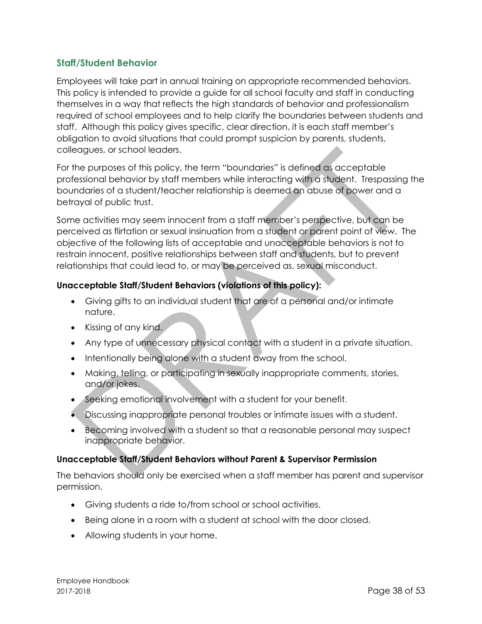#### <span id="page-37-0"></span>**Staff/Student Behavior**

Employees will take part in annual training on appropriate recommended behaviors. This policy is intended to provide a guide for all school faculty and staff in conducting themselves in a way that reflects the high standards of behavior and professionalism required of school employees and to help clarify the boundaries between students and staff. Although this policy gives specific, clear direction, it is each staff member's obligation to avoid situations that could prompt suspicion by parents, students, colleagues, or school leaders.

For the purposes of this policy, the term "boundaries" is defined as acceptable professional behavior by staff members while interacting with a student. Trespassing the boundaries of a student/teacher relationship is deemed an abuse of power and a betrayal of public trust.

Some activities may seem innocent from a staff member's perspective, but can be perceived as flirtation or sexual insinuation from a student or parent point of view. The objective of the following lists of acceptable and unacceptable behaviors is not to restrain innocent, positive relationships between staff and students, but to prevent relationships that could lead to, or may be perceived as, sexual misconduct.

#### <span id="page-37-1"></span>**Unacceptable Staff/Student Behaviors (violations of this policy):**

- Giving gifts to an individual student that are of a personal and/or intimate nature.
- Kissing of any kind.
- Any type of unnecessary physical contact with a student in a private situation.
- Intentionally being alone with a student away from the school.
- Making, telling, or participating in sexually inappropriate comments, stories, and/or jokes.
- Seeking emotional involvement with a student for your benefit.
- Discussing inappropriate personal troubles or intimate issues with a student.
- Becoming involved with a student so that a reasonable personal may suspect inappropriate behavior.

#### <span id="page-37-2"></span>**Unacceptable Staff/Student Behaviors without Parent & Supervisor Permission**

The behaviors should only be exercised when a staff member has parent and supervisor permission.

- Giving students a ride to/from school or school activities.
- Being alone in a room with a student at school with the door closed.
- Allowing students in your home.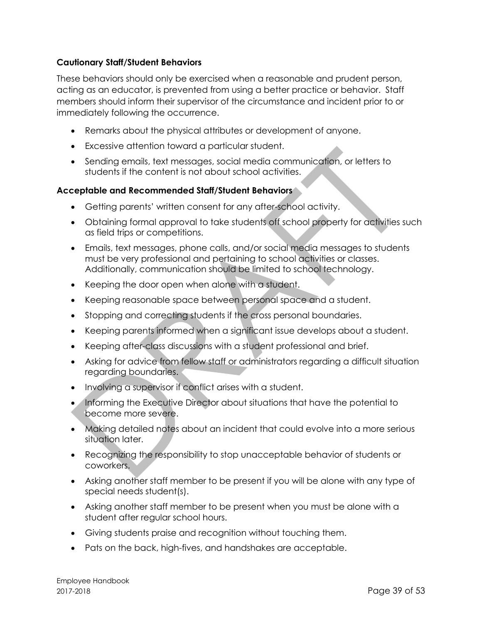#### <span id="page-38-0"></span>**Cautionary Staff/Student Behaviors**

These behaviors should only be exercised when a reasonable and prudent person, acting as an educator, is prevented from using a better practice or behavior. Staff members should inform their supervisor of the circumstance and incident prior to or immediately following the occurrence.

- Remarks about the physical attributes or development of anyone.
- Excessive attention toward a particular student.
- Sending emails, text messages, social media communication, or letters to students if the content is not about school activities.

#### <span id="page-38-1"></span>**Acceptable and Recommended Staff/Student Behaviors**

- Getting parents' written consent for any after-school activity.
- Obtaining formal approval to take students off school property for activities such as field trips or competitions.
- Emails, text messages, phone calls, and/or social media messages to students must be very professional and pertaining to school activities or classes. Additionally, communication should be limited to school technology.
- Keeping the door open when alone with a student.
- Keeping reasonable space between personal space and a student.
- Stopping and correcting students if the cross personal boundaries.
- Keeping parents informed when a significant issue develops about a student.
- Keeping after-class discussions with a student professional and brief.
- Asking for advice from fellow staff or administrators regarding a difficult situation regarding boundaries.
- Involving a supervisor if conflict arises with a student.
- Informing the Executive Director about situations that have the potential to become more severe.
- Making detailed notes about an incident that could evolve into a more serious situation later.
- Recognizing the responsibility to stop unacceptable behavior of students or coworkers.
- Asking another staff member to be present if you will be alone with any type of special needs student(s).
- Asking another staff member to be present when you must be alone with a student after regular school hours.
- Giving students praise and recognition without touching them.
- Pats on the back, high-fives, and handshakes are acceptable.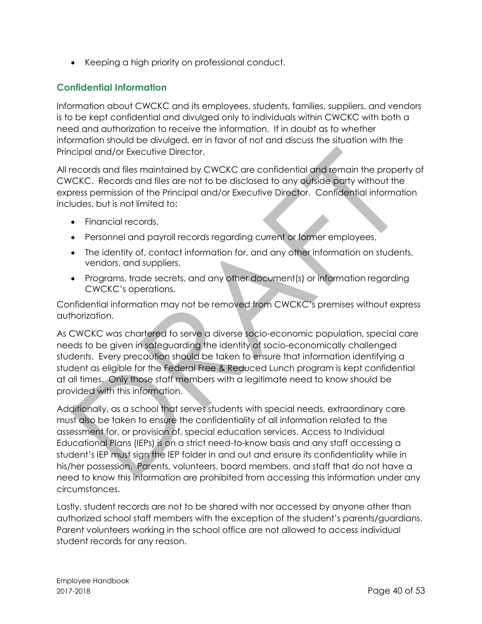• Keeping a high priority on professional conduct.

### <span id="page-39-0"></span>**Confidential Information**

Information about CWCKC and its employees, students, families, suppliers, and vendors is to be kept confidential and divulged only to individuals within CWCKC with both a need and authorization to receive the information. If in doubt as to whether information should be divulged, err in favor of not and discuss the situation with the Principal and/or Executive Director.

All records and files maintained by CWCKC are confidential and remain the property of CWCKC. Records and files are not to be disclosed to any outside party without the express permission of the Principal and/or Executive Director. Confidential information includes, but is not limited to:

- Financial records,
- Personnel and payroll records regarding current or former employees,
- The identity of, contact information for, and any other information on students, vendors, and suppliers,
- Programs, trade secrets, and any other document(s) or information regarding CWCKC's operations.

Confidential information may not be removed from CWCKC's premises without express authorization.

As CWCKC was chartered to serve a diverse socio-economic population, special care needs to be given in safeguarding the identity of socio-economically challenged students. Every precaution should be taken to ensure that information identifying a student as eligible for the Federal Free & Reduced Lunch program is kept confidential at all times. Only those staff members with a legitimate need to know should be provided with this information.

Additionally, as a school that serves students with special needs, extraordinary care must also be taken to ensure the confidentiality of all information related to the assessment for, or provision of, special education services. Access to Individual Educational Plans (IEPs) is on a strict need-to-know basis and any staff accessing a student's IEP must sign the IEP folder in and out and ensure its confidentiality while in his/her possession. Parents, volunteers, board members, and staff that do not have a need to know this information are prohibited from accessing this information under any circumstances.

Lastly, student records are not to be shared with nor accessed by anyone other than authorized school staff members with the exception of the student's parents/guardians. Parent volunteers working in the school office are not allowed to access individual student records for any reason.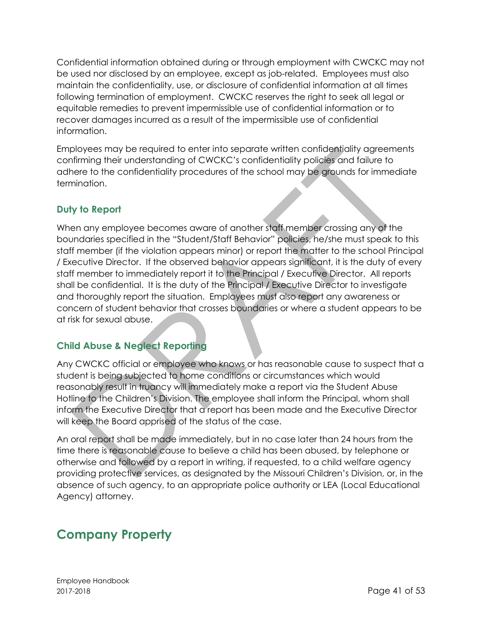Confidential information obtained during or through employment with CWCKC may not be used nor disclosed by an employee, except as job-related. Employees must also maintain the confidentiality, use, or disclosure of confidential information at all times following termination of employment. CWCKC reserves the right to seek all legal or equitable remedies to prevent impermissible use of confidential information or to recover damages incurred as a result of the impermissible use of confidential information.

Employees may be required to enter into separate written confidentiality agreements confirming their understanding of CWCKC's confidentiality policies and failure to adhere to the confidentiality procedures of the school may be grounds for immediate termination.

# <span id="page-40-0"></span>**Duty to Report**

When any employee becomes aware of another staff member crossing any of the boundaries specified in the "Student/Staff Behavior" policies, he/she must speak to this staff member (if the violation appears minor) or report the matter to the school Principal / Executive Director. If the observed behavior appears significant, it is the duty of every staff member to immediately report it to the Principal / Executive Director. All reports shall be confidential. It is the duty of the Principal / Executive Director to investigate and thoroughly report the situation. Employees must also report any awareness or concern of student behavior that crosses boundaries or where a student appears to be at risk for sexual abuse.

# <span id="page-40-1"></span>**Child Abuse & Neglect Reporting**

Any CWCKC official or employee who knows or has reasonable cause to suspect that a student is being subjected to home conditions or circumstances which would reasonably result in truancy will immediately make a report via the Student Abuse Hotline to the Children's Division. The employee shall inform the Principal, whom shall inform the Executive Director that a report has been made and the Executive Director will keep the Board apprised of the status of the case.

An oral report shall be made immediately, but in no case later than 24 hours from the time there is reasonable cause to believe a child has been abused, by telephone or otherwise and followed by a report in writing, if requested, to a child welfare agency providing protective services, as designated by the Missouri Children's Division, or, in the absence of such agency, to an appropriate police authority or LEA (Local Educational Agency) attorney.

# <span id="page-40-2"></span>**Company Property**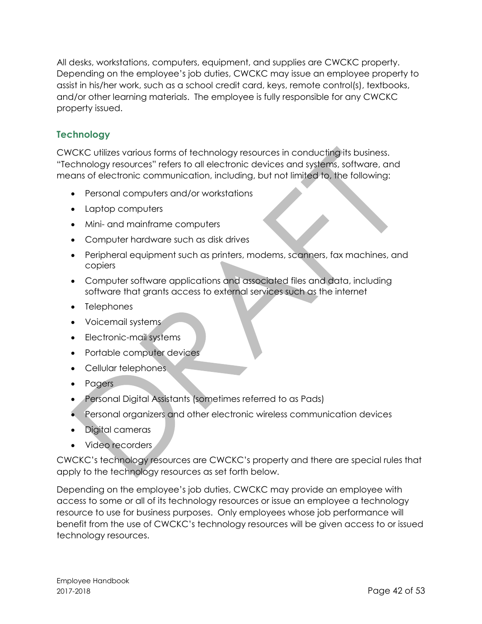All desks, workstations, computers, equipment, and supplies are CWCKC property. Depending on the employee's job duties, CWCKC may issue an employee property to assist in his/her work, such as a school credit card, keys, remote control(s), textbooks, and/or other learning materials. The employee is fully responsible for any CWCKC property issued.

## <span id="page-41-0"></span>**Technology**

CWCKC utilizes various forms of technology resources in conducting its business. "Technology resources" refers to all electronic devices and systems, software, and means of electronic communication, including, but not limited to, the following:

- Personal computers and/or workstations
- Laptop computers
- Mini- and mainframe computers
- Computer hardware such as disk drives
- Peripheral equipment such as printers, modems, scanners, fax machines, and copiers
- Computer software applications and associated files and data, including software that grants access to external services such as the internet
- Telephones
- Voicemail systems
- Electronic-mail systems
- Portable computer devices
- Cellular telephones
- Pagers
- Personal Digital Assistants (sometimes referred to as Pads)
- Personal organizers and other electronic wireless communication devices
- Digital cameras
- Video recorders

CWCKC's technology resources are CWCKC's property and there are special rules that apply to the technology resources as set forth below.

Depending on the employee's job duties, CWCKC may provide an employee with access to some or all of its technology resources or issue an employee a technology resource to use for business purposes. Only employees whose job performance will benefit from the use of CWCKC's technology resources will be given access to or issued technology resources.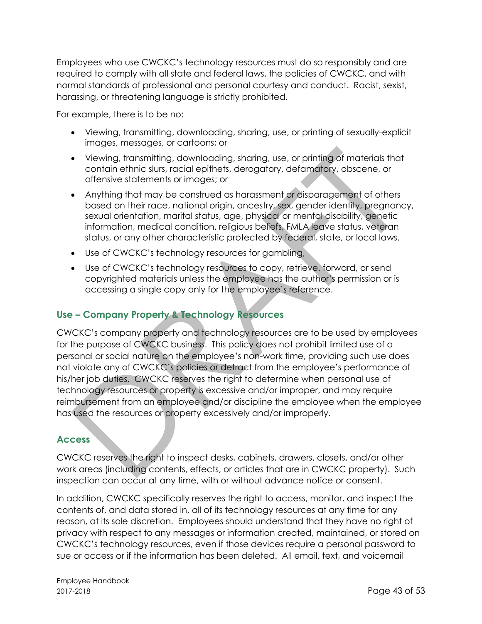Employees who use CWCKC's technology resources must do so responsibly and are required to comply with all state and federal laws, the policies of CWCKC, and with normal standards of professional and personal courtesy and conduct. Racist, sexist, harassing, or threatening language is strictly prohibited.

For example, there is to be no:

- Viewing, transmitting, downloading, sharing, use, or printing of sexually-explicit images, messages, or cartoons; or
- Viewing, transmitting, downloading, sharing, use, or printing of materials that contain ethnic slurs, racial epithets, derogatory, defamatory, obscene, or offensive statements or images; or
- Anything that may be construed as harassment or disparagement of others based on their race, national origin, ancestry, sex, gender identity, pregnancy, sexual orientation, marital status, age, physical or mental disability, genetic information, medical condition, religious beliefs, FMLA leave status, veteran status, or any other characteristic protected by federal, state, or local laws.
- Use of CWCKC's technology resources for gambling,
- Use of CWCKC's technology resources to copy, retrieve, forward, or send copyrighted materials unless the employee has the author's permission or is accessing a single copy only for the employee's reference.

#### <span id="page-42-0"></span>**Use – Company Property & Technology Resources**

CWCKC's company property and technology resources are to be used by employees for the purpose of CWCKC business. This policy does not prohibit limited use of a personal or social nature on the employee's non-work time, providing such use does not violate any of CWCKC's policies or detract from the employee's performance of his/her job duties. CWCKC reserves the right to determine when personal use of technology resources or property is excessive and/or improper, and may require reimbursement from an employee and/or discipline the employee when the employee has used the resources or property excessively and/or improperly.

#### <span id="page-42-1"></span>**Access**

CWCKC reserves the right to inspect desks, cabinets, drawers, closets, and/or other work areas (including contents, effects, or articles that are in CWCKC property). Such inspection can occur at any time, with or without advance notice or consent.

In addition, CWCKC specifically reserves the right to access, monitor, and inspect the contents of, and data stored in, all of its technology resources at any time for any reason, at its sole discretion. Employees should understand that they have no right of privacy with respect to any messages or information created, maintained, or stored on CWCKC's technology resources, even if those devices require a personal password to sue or access or if the information has been deleted. All email, text, and voicemail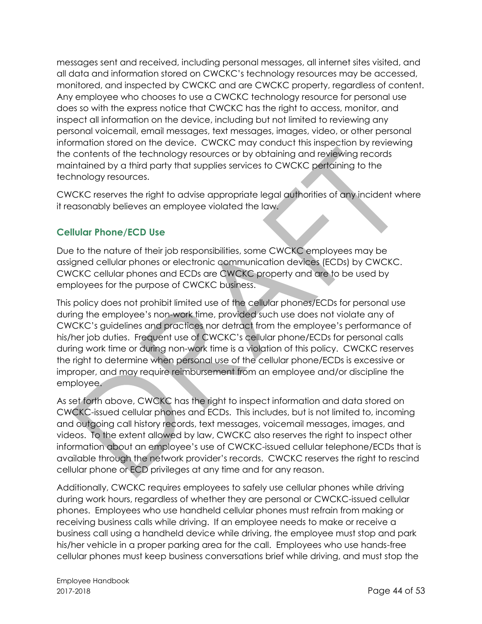messages sent and received, including personal messages, all internet sites visited, and all data and information stored on CWCKC's technology resources may be accessed, monitored, and inspected by CWCKC and are CWCKC property, regardless of content. Any employee who chooses to use a CWCKC technology resource for personal use does so with the express notice that CWCKC has the right to access, monitor, and inspect all information on the device, including but not limited to reviewing any personal voicemail, email messages, text messages, images, video, or other personal information stored on the device. CWCKC may conduct this inspection by reviewing the contents of the technology resources or by obtaining and reviewing records maintained by a third party that supplies services to CWCKC pertaining to the technology resources.

CWCKC reserves the right to advise appropriate legal authorities of any incident where it reasonably believes an employee violated the law.

# <span id="page-43-0"></span>**Cellular Phone/ECD Use**

Due to the nature of their job responsibilities, some CWCKC employees may be assigned cellular phones or electronic communication devices (ECDs) by CWCKC. CWCKC cellular phones and ECDs are CWCKC property and are to be used by employees for the purpose of CWCKC business.

This policy does not prohibit limited use of the cellular phones/ECDs for personal use during the employee's non-work time, provided such use does not violate any of CWCKC's guidelines and practices nor detract from the employee's performance of his/her job duties. Frequent use of CWCKC's cellular phone/ECDs for personal calls during work time or during non-work time is a violation of this policy. CWCKC reserves the right to determine when personal use of the cellular phone/ECDs is excessive or improper, and may require reimbursement from an employee and/or discipline the employee.

As set forth above, CWCKC has the right to inspect information and data stored on CWCKC-issued cellular phones and ECDs. This includes, but is not limited to, incoming and outgoing call history records, text messages, voicemail messages, images, and videos. To the extent allowed by law, CWCKC also reserves the right to inspect other information about an employee's use of CWCKC-issued cellular telephone/ECDs that is available through the network provider's records. CWCKC reserves the right to rescind cellular phone or ECD privileges at any time and for any reason.

Additionally, CWCKC requires employees to safely use cellular phones while driving during work hours, regardless of whether they are personal or CWCKC-issued cellular phones. Employees who use handheld cellular phones must refrain from making or receiving business calls while driving. If an employee needs to make or receive a business call using a handheld device while driving, the employee must stop and park his/her vehicle in a proper parking area for the call. Employees who use hands-free cellular phones must keep business conversations brief while driving, and must stop the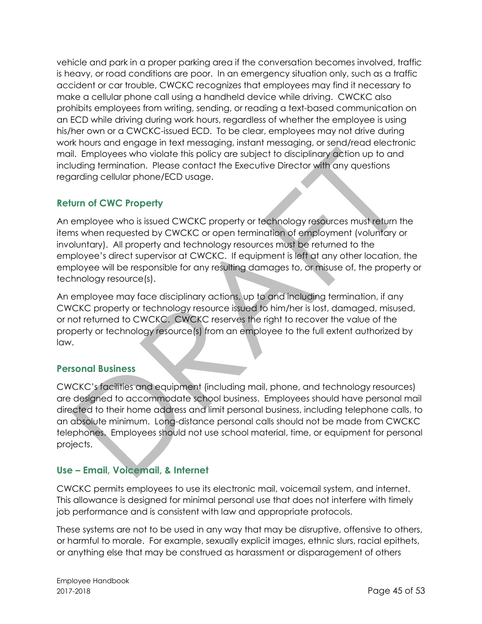vehicle and park in a proper parking area if the conversation becomes involved, traffic is heavy, or road conditions are poor. In an emergency situation only, such as a traffic accident or car trouble, CWCKC recognizes that employees may find it necessary to make a cellular phone call using a handheld device while driving. CWCKC also prohibits employees from writing, sending, or reading a text-based communication on an ECD while driving during work hours, regardless of whether the employee is using his/her own or a CWCKC-issued ECD. To be clear, employees may not drive during work hours and engage in text messaging, instant messaging, or send/read electronic mail. Employees who violate this policy are subject to disciplinary action up to and including termination. Please contact the Executive Director with any questions regarding cellular phone/ECD usage.

# <span id="page-44-0"></span>**Return of CWC Property**

An employee who is issued CWCKC property or technology resources must return the items when requested by CWCKC or open termination of employment (voluntary or involuntary). All property and technology resources must be returned to the employee's direct supervisor at CWCKC. If equipment is left at any other location, the employee will be responsible for any resulting damages to, or misuse of, the property or technology resource(s).

An employee may face disciplinary actions, up to and including termination, if any CWCKC property or technology resource issued to him/her is lost, damaged, misused, or not returned to CWCKC. CWCKC reserves the right to recover the value of the property or technology resource(s) from an employee to the full extent authorized by law.

# <span id="page-44-1"></span>**Personal Business**

CWCKC's facilities and equipment (including mail, phone, and technology resources) are designed to accommodate school business. Employees should have personal mail directed to their home address and limit personal business, including telephone calls, to an absolute minimum. Long-distance personal calls should not be made from CWCKC telephones. Employees should not use school material, time, or equipment for personal projects.

# <span id="page-44-2"></span>**Use – Email, Voicemail, & Internet**

CWCKC permits employees to use its electronic mail, voicemail system, and internet. This allowance is designed for minimal personal use that does not interfere with timely job performance and is consistent with law and appropriate protocols.

These systems are not to be used in any way that may be disruptive, offensive to others, or harmful to morale. For example, sexually explicit images, ethnic slurs, racial epithets, or anything else that may be construed as harassment or disparagement of others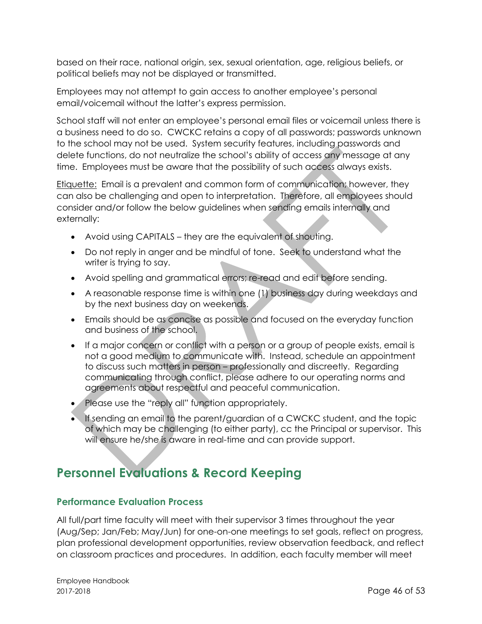based on their race, national origin, sex, sexual orientation, age, religious beliefs, or political beliefs may not be displayed or transmitted.

Employees may not attempt to gain access to another employee's personal email/voicemail without the latter's express permission.

School staff will not enter an employee's personal email files or voicemail unless there is a business need to do so. CWCKC retains a copy of all passwords; passwords unknown to the school may not be used. System security features, including passwords and delete functions, do not neutralize the school's ability of access any message at any time. Employees must be aware that the possibility of such access always exists.

Etiquette: Email is a prevalent and common form of communication; however, they can also be challenging and open to interpretation. Therefore, all employees should consider and/or follow the below guidelines when sending emails internally and externally:

- Avoid using CAPITALS they are the equivalent of shouting.
- Do not reply in anger and be mindful of tone. Seek to understand what the writer is trying to say.
- Avoid spelling and grammatical errors; re-read and edit before sending.
- A reasonable response time is within one (1) business day during weekdays and by the next business day on weekends.
- Emails should be as concise as possible and focused on the everyday function and business of the school.
- If a major concern or conflict with a person or a group of people exists, email is not a good medium to communicate with. Instead, schedule an appointment to discuss such matters in person – professionally and discreetly. Regarding communicating through conflict, please adhere to our operating norms and agreements about respectful and peaceful communication.
- Please use the "reply all" function appropriately.
- If sending an email to the parent/guardian of a CWCKC student, and the topic of which may be challenging (to either party), cc the Principal or supervisor. This will ensure he/she is aware in real-time and can provide support.

# <span id="page-45-0"></span>**Personnel Evaluations & Record Keeping**

#### <span id="page-45-1"></span>**Performance Evaluation Process**

All full/part time faculty will meet with their supervisor 3 times throughout the year (Aug/Sep; Jan/Feb; May/Jun) for one-on-one meetings to set goals, reflect on progress, plan professional development opportunities, review observation feedback, and reflect on classroom practices and procedures. In addition, each faculty member will meet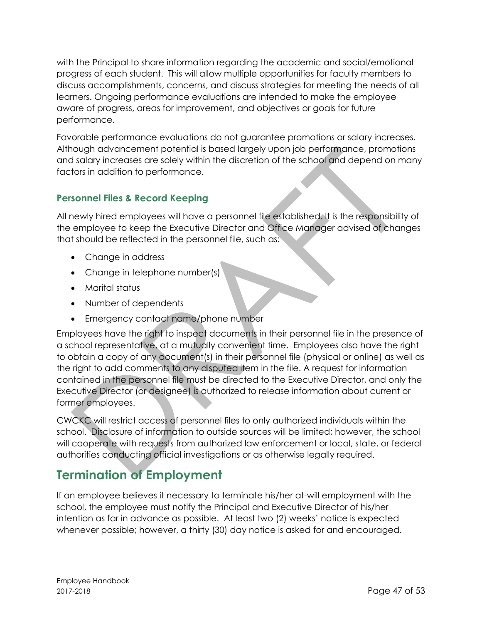with the Principal to share information regarding the academic and social/emotional progress of each student. This will allow multiple opportunities for faculty members to discuss accomplishments, concerns, and discuss strategies for meeting the needs of all learners. Ongoing performance evaluations are intended to make the employee aware of progress, areas for improvement, and objectives or goals for future performance.

Favorable performance evaluations do not guarantee promotions or salary increases. Although advancement potential is based largely upon job performance, promotions and salary increases are solely within the discretion of the school and depend on many factors in addition to performance.

# <span id="page-46-0"></span>**Personnel Files & Record Keeping**

All newly hired employees will have a personnel file established. It is the responsibility of the employee to keep the Executive Director and Office Manager advised of changes that should be reflected in the personnel file, such as:

- Change in address
- Change in telephone number(s)
- Marital status
- Number of dependents
- Emergency contact name/phone number

Employees have the right to inspect documents in their personnel file in the presence of a school representative, at a mutually convenient time. Employees also have the right to obtain a copy of any document(s) in their personnel file (physical or online) as well as the right to add comments to any disputed item in the file. A request for information contained in the personnel file must be directed to the Executive Director, and only the Executive Director (or designee) is authorized to release information about current or former employees.

CWCKC will restrict access of personnel files to only authorized individuals within the school. Disclosure of information to outside sources will be limited; however, the school will cooperate with requests from authorized law enforcement or local, state, or federal authorities conducting official investigations or as otherwise legally required.

# <span id="page-46-1"></span>**Termination of Employment**

<span id="page-46-2"></span>If an employee believes it necessary to terminate his/her at-will employment with the school, the employee must notify the Principal and Executive Director of his/her intention as far in advance as possible. At least two (2) weeks' notice is expected whenever possible; however, a thirty (30) day notice is asked for and encouraged.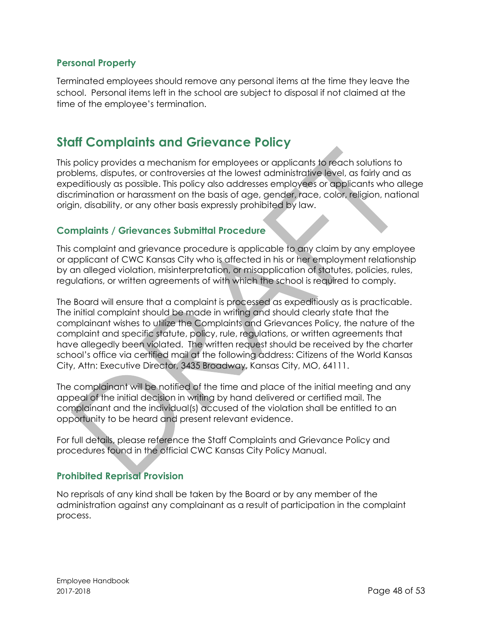#### **Personal Property**

Terminated employees should remove any personal items at the time they leave the school. Personal items left in the school are subject to disposal if not claimed at the time of the employee's termination.

# <span id="page-47-0"></span>**Staff Complaints and Grievance Policy**

This policy provides a mechanism for employees or applicants to reach solutions to problems, disputes, or controversies at the lowest administrative level, as fairly and as expeditiously as possible. This policy also addresses employees or applicants who allege discrimination or harassment on the basis of age, gender, race, color, religion, national origin, disability, or any other basis expressly prohibited by law.

#### <span id="page-47-1"></span>**Complaints / Grievances Submittal Procedure**

This complaint and grievance procedure is applicable to any claim by any employee or applicant of CWC Kansas City who is affected in his or her employment relationship by an alleged violation, misinterpretation, or misapplication of statutes, policies, rules, regulations, or written agreements of with which the school is required to comply.

The Board will ensure that a complaint is processed as expeditiously as is practicable. The initial complaint should be made in writing and should clearly state that the complainant wishes to utilize the Complaints and Grievances Policy, the nature of the complaint and specific statute, policy, rule, regulations, or written agreements that have allegedly been violated. The written request should be received by the charter school's office via certified mail at the following address: Citizens of the World Kansas City, Attn: Executive Director, 3435 Broadway, Kansas City, MO, 64111.

The complainant will be notified of the time and place of the initial meeting and any appeal of the initial decision in writing by hand delivered or certified mail. The complainant and the individual(s) accused of the violation shall be entitled to an opportunity to be heard and present relevant evidence.

For full details, please reference the Staff Complaints and Grievance Policy and procedures found in the official CWC Kansas City Policy Manual.

#### <span id="page-47-2"></span>**Prohibited Reprisal Provision**

No reprisals of any kind shall be taken by the Board or by any member of the administration against any complainant as a result of participation in the complaint process.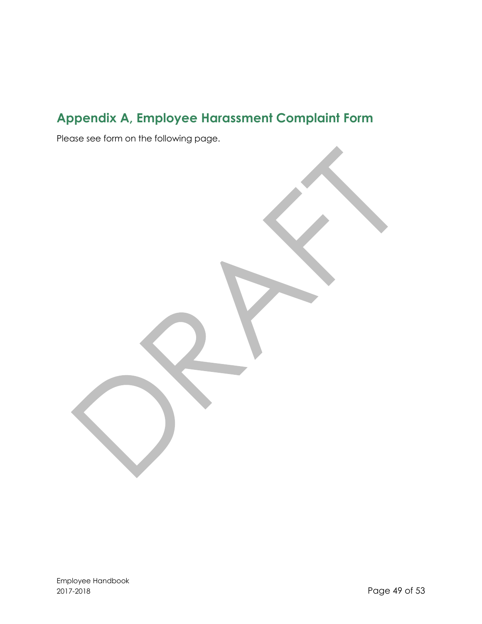# <span id="page-48-0"></span>**Appendix A, Employee Harassment Complaint Form**

Please see form on the following page.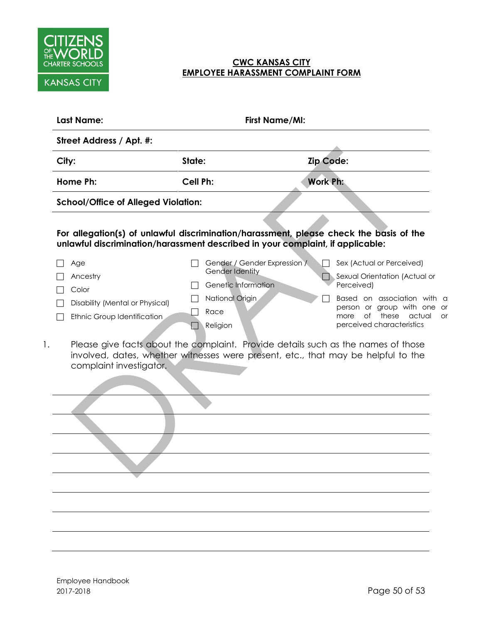

#### **CWC KANSAS CITY EMPLOYEE HARASSMENT COMPLAINT FORM**

|    | <b>Last Name:</b>                                                                          | <b>First Name/MI:</b>                                                                                                                     |                                                                                                                                                                                                      |
|----|--------------------------------------------------------------------------------------------|-------------------------------------------------------------------------------------------------------------------------------------------|------------------------------------------------------------------------------------------------------------------------------------------------------------------------------------------------------|
|    | Street Address / Apt. #:                                                                   |                                                                                                                                           |                                                                                                                                                                                                      |
|    | City:                                                                                      | State:                                                                                                                                    | Zip Code:                                                                                                                                                                                            |
|    | Home Ph:                                                                                   | <b>Cell Ph:</b>                                                                                                                           | <b>Work Ph:</b>                                                                                                                                                                                      |
|    | <b>School/Office of Alleged Violation:</b>                                                 |                                                                                                                                           |                                                                                                                                                                                                      |
|    |                                                                                            | unlawful discrimination/harassment described in your complaint, if applicable:                                                            | For allegation(s) of unlawful discrimination/harassment, please check the basis of the                                                                                                               |
|    | Age<br>Ancestry<br>Color<br>Disability (Mental or Physical)<br>Ethnic Group Identification | Gender / Gender Expression /<br>Gender Identity<br>Genetic Information<br>National Origin<br>Race<br>Religion<br>$\overline{\phantom{a}}$ | Sex (Actual or Perceived)<br>Sexual Orientation (Actual or<br>Perceived)<br>Based on association with a<br>person or group with one or<br>of these actual<br>more<br>or<br>perceived characteristics |
| 1. | complaint investigator.                                                                    |                                                                                                                                           | Please give facts about the complaint. Provide details such as the names of those<br>involved, dates, whether witnesses were present, etc., that may be helpful to the                               |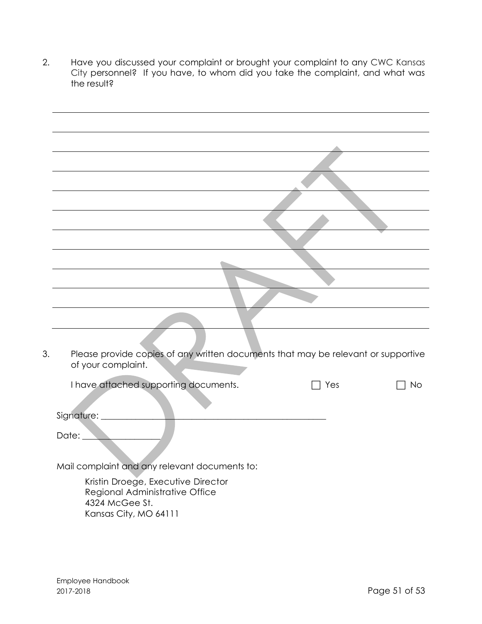2. Have you discussed your complaint or brought your complaint to any CWC Kansas City personnel? If you have, to whom did you take the complaint, and what was the result?

| 3. | Please provide copies of any written documents that may be relevant or supportive<br>of your complaint. |  |
|----|---------------------------------------------------------------------------------------------------------|--|
|    | I have attached supporting documents.<br>Yes<br>No                                                      |  |
|    |                                                                                                         |  |
|    | Signature: __________                                                                                   |  |
|    | Date: <u>Date: Albert 2008</u>                                                                          |  |
|    | Mail complaint and any relevant documents to:                                                           |  |
|    | Kristin Droege, Executive Director                                                                      |  |
|    | Regional Administrative Office<br>4324 McGee St.                                                        |  |
|    | Kansas City, MO 64111                                                                                   |  |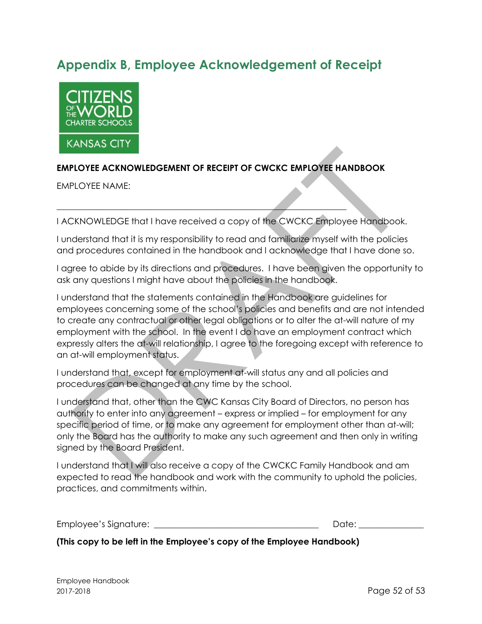# <span id="page-51-0"></span>**Appendix B, Employee Acknowledgement of Receipt**



#### **EMPLOYEE ACKNOWLEDGEMENT OF RECEIPT OF CWCKC EMPLOYEE HANDBOOK**

\_\_\_\_\_\_\_\_\_\_\_\_\_\_\_\_\_\_\_\_\_\_\_\_\_\_\_\_\_\_\_\_\_\_\_\_\_\_\_\_\_\_\_\_\_\_\_\_\_\_\_\_\_\_\_\_\_\_\_\_\_\_\_\_\_\_\_

EMPLOYEE NAME:

I ACKNOWLEDGE that I have received a copy of the CWCKC Employee Handbook.

I understand that it is my responsibility to read and familiarize myself with the policies and procedures contained in the handbook and I acknowledge that I have done so.

I agree to abide by its directions and procedures. I have been given the opportunity to ask any questions I might have about the policies in the handbook.

I understand that the statements contained in the Handbook are guidelines for employees concerning some of the school's policies and benefits and are not intended to create any contractual or other legal obligations or to alter the at-will nature of my employment with the school. In the event I do have an employment contract which expressly alters the at-will relationship, I agree to the foregoing except with reference to an at-will employment status.

I understand that, except for employment at-will status any and all policies and procedures can be changed at any time by the school.

I understand that, other than the CWC Kansas City Board of Directors, no person has authority to enter into any agreement – express or implied – for employment for any specific period of time, or to make any agreement for employment other than at-will; only the Board has the authority to make any such agreement and then only in writing signed by the Board President.

I understand that I will also receive a copy of the CWCKC Family Handbook and am expected to read the handbook and work with the community to uphold the policies, practices, and commitments within.

Employee's Signature: \_\_\_\_\_\_\_\_\_\_\_\_\_\_\_\_\_\_\_\_\_\_\_\_\_\_\_\_\_\_\_\_\_\_\_\_\_\_ Date: \_\_\_\_\_\_\_\_\_\_\_\_\_\_\_

**(This copy to be left in the Employee's copy of the Employee Handbook)**